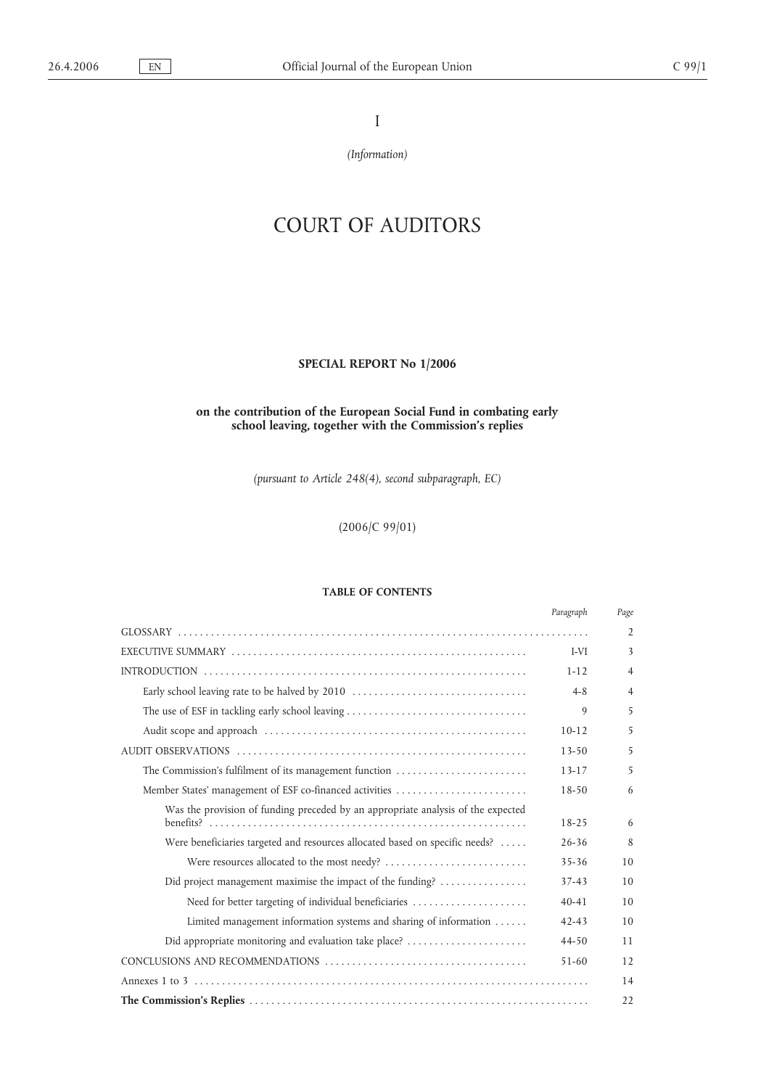I

*(Information)*

# COURT OF AUDITORS

# **SPECIAL REPORT No 1/2006**

# **on the contribution of the European Social Fund in combating early school leaving, together with the Commission's replies**

*(pursuant to Article 248(4), second subparagraph, EC)*

(2006/C 99/01)

# **TABLE OF CONTENTS**

|                                                                                  | Paragraph | Page           |
|----------------------------------------------------------------------------------|-----------|----------------|
|                                                                                  |           | 2              |
|                                                                                  | I-VI      | 3              |
|                                                                                  | $1 - 12$  | $\overline{4}$ |
| Early school leaving rate to be halved by 2010                                   | $4 - 8$   | $\overline{4}$ |
|                                                                                  | 9         | 5              |
|                                                                                  | $10-12$   | 5              |
|                                                                                  | $13 - 50$ | 5              |
| The Commission's fulfilment of its management function                           | 13-17     | 5              |
| Member States' management of ESF co-financed activities                          | $18 - 50$ | 6              |
| Was the provision of funding preceded by an appropriate analysis of the expected | $18 - 25$ | 6              |
| Were beneficiaries targeted and resources allocated based on specific needs?     | $26 - 36$ | 8              |
|                                                                                  | $35 - 36$ | 10             |
| Did project management maximise the impact of the funding?                       | $37 - 43$ | 10             |
| Need for better targeting of individual beneficiaries                            | $40 - 41$ | 10             |
| Limited management information systems and sharing of information                | $42 - 43$ | 10             |
| Did appropriate monitoring and evaluation take place?                            | 44-50     | 11             |
|                                                                                  | $51 - 60$ | 12             |
|                                                                                  |           | 14             |
|                                                                                  |           | 22             |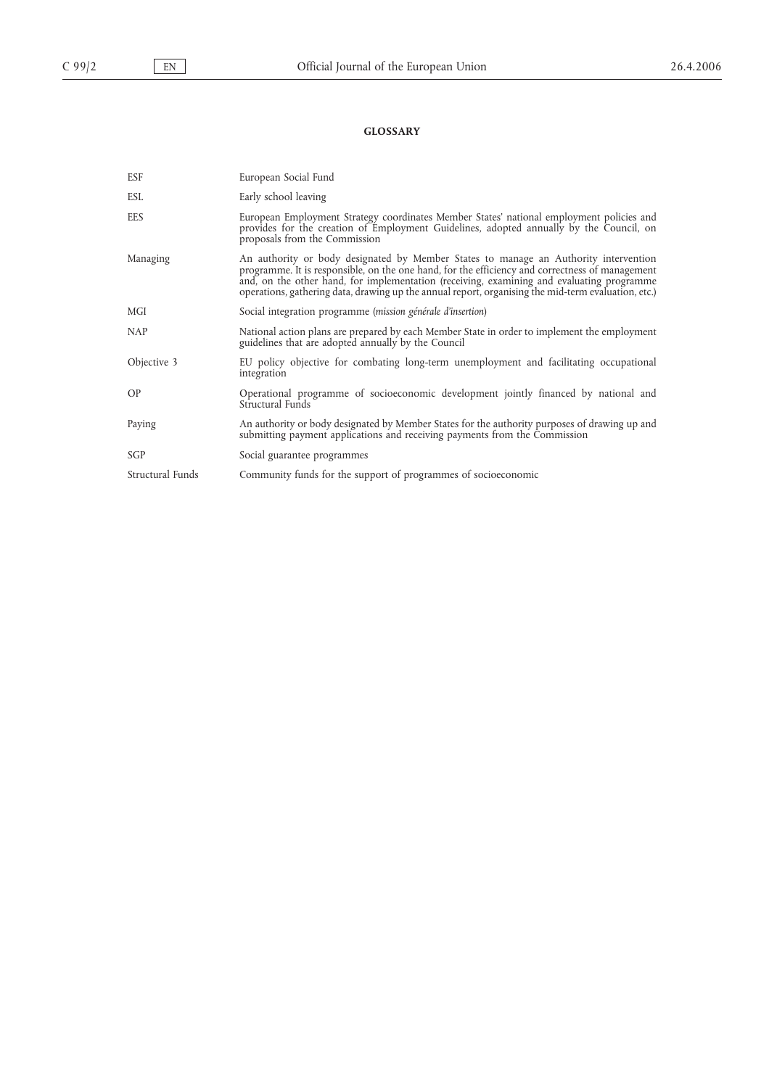# **GLOSSARY**

| ESF              | European Social Fund                                                                                                                                                                                                                                                                                                                                                                        |
|------------------|---------------------------------------------------------------------------------------------------------------------------------------------------------------------------------------------------------------------------------------------------------------------------------------------------------------------------------------------------------------------------------------------|
| <b>ESL</b>       | Early school leaving                                                                                                                                                                                                                                                                                                                                                                        |
| EES              | European Employment Strategy coordinates Member States' national employment policies and<br>provides for the creation of Employment Guidelines, adopted annually by the Council, on<br>proposals from the Commission                                                                                                                                                                        |
| Managing         | An authority or body designated by Member States to manage an Authority intervention<br>programme. It is responsible, on the one hand, for the efficiency and correctness of management<br>and, on the other hand, for implementation (receiving, examining and evaluating programme<br>operations, gathering data, drawing up the annual report, organising the mid-term evaluation, etc.) |
| MGI              | Social integration programme (mission générale d'insertion)                                                                                                                                                                                                                                                                                                                                 |
| <b>NAP</b>       | National action plans are prepared by each Member State in order to implement the employment<br>guidelines that are adopted annually by the Council                                                                                                                                                                                                                                         |
| Objective 3      | EU policy objective for combating long-term unemployment and facilitating occupational<br>integration                                                                                                                                                                                                                                                                                       |
| OP               | Operational programme of socioeconomic development jointly financed by national and<br>Structural Funds                                                                                                                                                                                                                                                                                     |
| Paying           | An authority or body designated by Member States for the authority purposes of drawing up and<br>submitting payment applications and receiving payments from the Commission                                                                                                                                                                                                                 |
| SGP              | Social guarantee programmes                                                                                                                                                                                                                                                                                                                                                                 |
| Structural Funds | Community funds for the support of programmes of socioeconomic                                                                                                                                                                                                                                                                                                                              |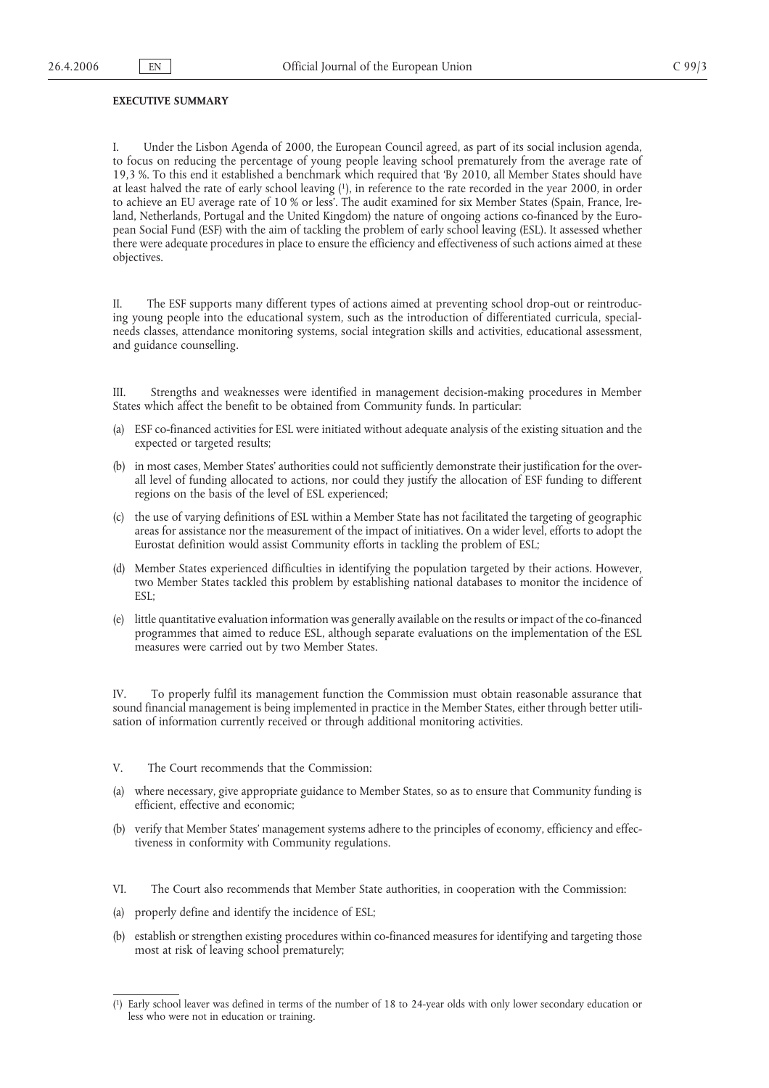#### **EXECUTIVE SUMMARY**

I. Under the Lisbon Agenda of 2000, the European Council agreed, as part of its social inclusion agenda, to focus on reducing the percentage of young people leaving school prematurely from the average rate of 19,3 %. To this end it established a benchmark which required that 'By 2010, all Member States should have at least halved the rate of early school leaving (1), in reference to the rate recorded in the year 2000, in order to achieve an EU average rate of 10 % or less'. The audit examined for six Member States (Spain, France, Ireland, Netherlands, Portugal and the United Kingdom) the nature of ongoing actions co-financed by the European Social Fund (ESF) with the aim of tackling the problem of early school leaving (ESL). It assessed whether there were adequate procedures in place to ensure the efficiency and effectiveness of such actions aimed at these objectives.

II. The ESF supports many different types of actions aimed at preventing school drop-out or reintroducing young people into the educational system, such as the introduction of differentiated curricula, specialneeds classes, attendance monitoring systems, social integration skills and activities, educational assessment, and guidance counselling.

III. Strengths and weaknesses were identified in management decision-making procedures in Member States which affect the benefit to be obtained from Community funds. In particular:

- (a) ESF co-financed activities for ESL were initiated without adequate analysis of the existing situation and the expected or targeted results;
- (b) in most cases, Member States' authorities could not sufficiently demonstrate their justification for the overall level of funding allocated to actions, nor could they justify the allocation of ESF funding to different regions on the basis of the level of ESL experienced;
- (c) the use of varying definitions of ESL within a Member State has not facilitated the targeting of geographic areas for assistance nor the measurement of the impact of initiatives. On a wider level, efforts to adopt the Eurostat definition would assist Community efforts in tackling the problem of ESL;
- (d) Member States experienced difficulties in identifying the population targeted by their actions. However, two Member States tackled this problem by establishing national databases to monitor the incidence of ESL;
- (e) little quantitative evaluation information was generally available on the results or impact of the co-financed programmes that aimed to reduce ESL, although separate evaluations on the implementation of the ESL measures were carried out by two Member States.

IV. To properly fulfil its management function the Commission must obtain reasonable assurance that sound financial management is being implemented in practice in the Member States, either through better utilisation of information currently received or through additional monitoring activities.

- V. The Court recommends that the Commission:
- (a) where necessary, give appropriate guidance to Member States, so as to ensure that Community funding is efficient, effective and economic;
- (b) verify that Member States' management systems adhere to the principles of economy, efficiency and effectiveness in conformity with Community regulations.
- VI. The Court also recommends that Member State authorities, in cooperation with the Commission:
- (a) properly define and identify the incidence of ESL;
- (b) establish or strengthen existing procedures within co-financed measures for identifying and targeting those most at risk of leaving school prematurely;

<sup>(</sup> 1) Early school leaver was defined in terms of the number of 18 to 24-year olds with only lower secondary education or less who were not in education or training.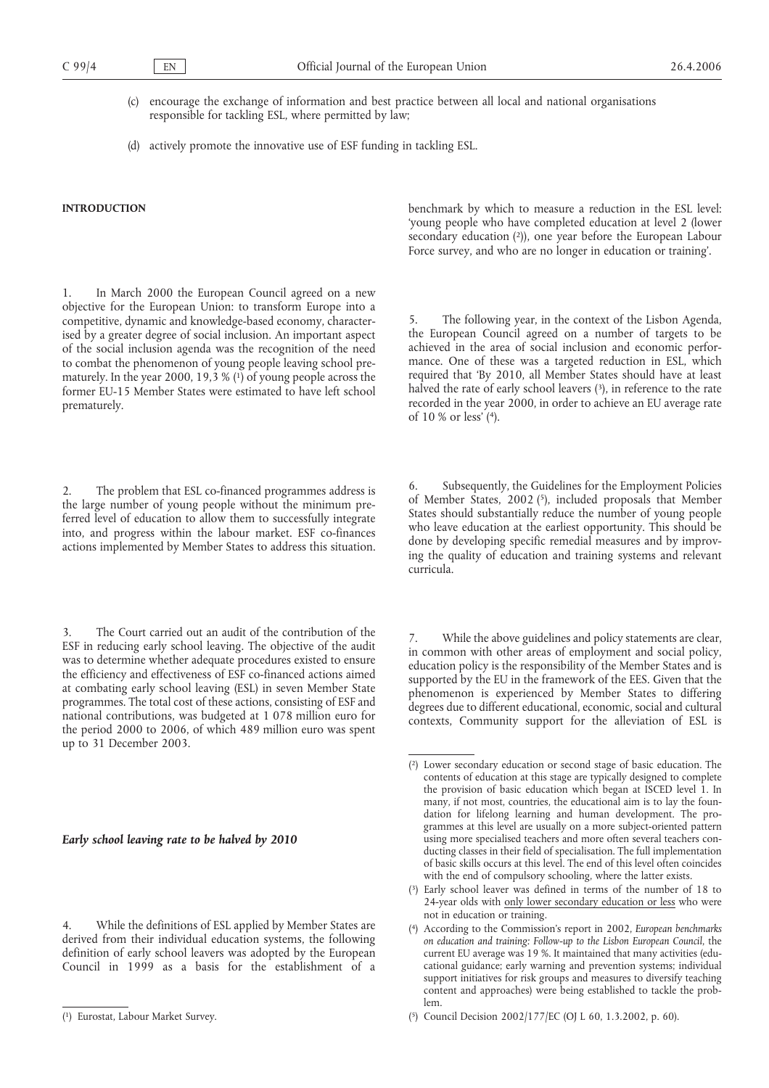- (c) encourage the exchange of information and best practice between all local and national organisations responsible for tackling ESL, where permitted by law;
- (d) actively promote the innovative use of ESF funding in tackling ESL.

# **INTRODUCTION**

1. In March 2000 the European Council agreed on a new objective for the European Union: to transform Europe into a competitive, dynamic and knowledge-based economy, characterised by a greater degree of social inclusion. An important aspect of the social inclusion agenda was the recognition of the need to combat the phenomenon of young people leaving school prematurely. In the year 2000, 19,3 %  $(1)$  of young people across the former EU-15 Member States were estimated to have left school prematurely.

The problem that ESL co-financed programmes address is the large number of young people without the minimum preferred level of education to allow them to successfully integrate into, and progress within the labour market. ESF co-finances actions implemented by Member States to address this situation.

3. The Court carried out an audit of the contribution of the ESF in reducing early school leaving. The objective of the audit was to determine whether adequate procedures existed to ensure the efficiency and effectiveness of ESF co-financed actions aimed at combating early school leaving (ESL) in seven Member State programmes. The total cost of these actions, consisting of ESF and national contributions, was budgeted at 1 078 million euro for the period 2000 to 2006, of which 489 million euro was spent up to 31 December 2003.

#### *Early school leaving rate to be halved by 2010*

While the definitions of ESL applied by Member States are derived from their individual education systems, the following definition of early school leavers was adopted by the European Council in 1999 as a basis for the establishment of a benchmark by which to measure a reduction in the ESL level: 'young people who have completed education at level 2 (lower secondary education (2)), one year before the European Labour Force survey, and who are no longer in education or training'.

5. The following year, in the context of the Lisbon Agenda, the European Council agreed on a number of targets to be achieved in the area of social inclusion and economic performance. One of these was a targeted reduction in ESL, which required that 'By 2010, all Member States should have at least halved the rate of early school leavers (3), in reference to the rate recorded in the year 2000, in order to achieve an EU average rate of 10 % or less' (4).

6. Subsequently, the Guidelines for the Employment Policies of Member States, 2002 (5), included proposals that Member States should substantially reduce the number of young people who leave education at the earliest opportunity. This should be done by developing specific remedial measures and by improving the quality of education and training systems and relevant curricula.

7. While the above guidelines and policy statements are clear, in common with other areas of employment and social policy, education policy is the responsibility of the Member States and is supported by the EU in the framework of the EES. Given that the phenomenon is experienced by Member States to differing degrees due to different educational, economic, social and cultural contexts, Community support for the alleviation of ESL is

<sup>(</sup> 1) Eurostat, Labour Market Survey.

<sup>(</sup> 2) Lower secondary education or second stage of basic education. The contents of education at this stage are typically designed to complete the provision of basic education which began at ISCED level 1. In many, if not most, countries, the educational aim is to lay the foundation for lifelong learning and human development. The programmes at this level are usually on a more subject-oriented pattern using more specialised teachers and more often several teachers conducting classes in their field of specialisation. The full implementation of basic skills occurs at this level. The end of this level often coincides with the end of compulsory schooling, where the latter exists.

<sup>(</sup> 3) Early school leaver was defined in terms of the number of 18 to 24-year olds with only lower secondary education or less who were not in education or training.

<sup>(</sup> 4) According to the Commission's report in 2002, *European benchmarks on education and training: Follow-up to the Lisbon European Council*, the current EU average was 19 %. It maintained that many activities (educational guidance; early warning and prevention systems; individual support initiatives for risk groups and measures to diversify teaching content and approaches) were being established to tackle the problem.

<sup>(</sup> 5) Council Decision 2002/177/EC (OJ L 60, 1.3.2002, p. 60).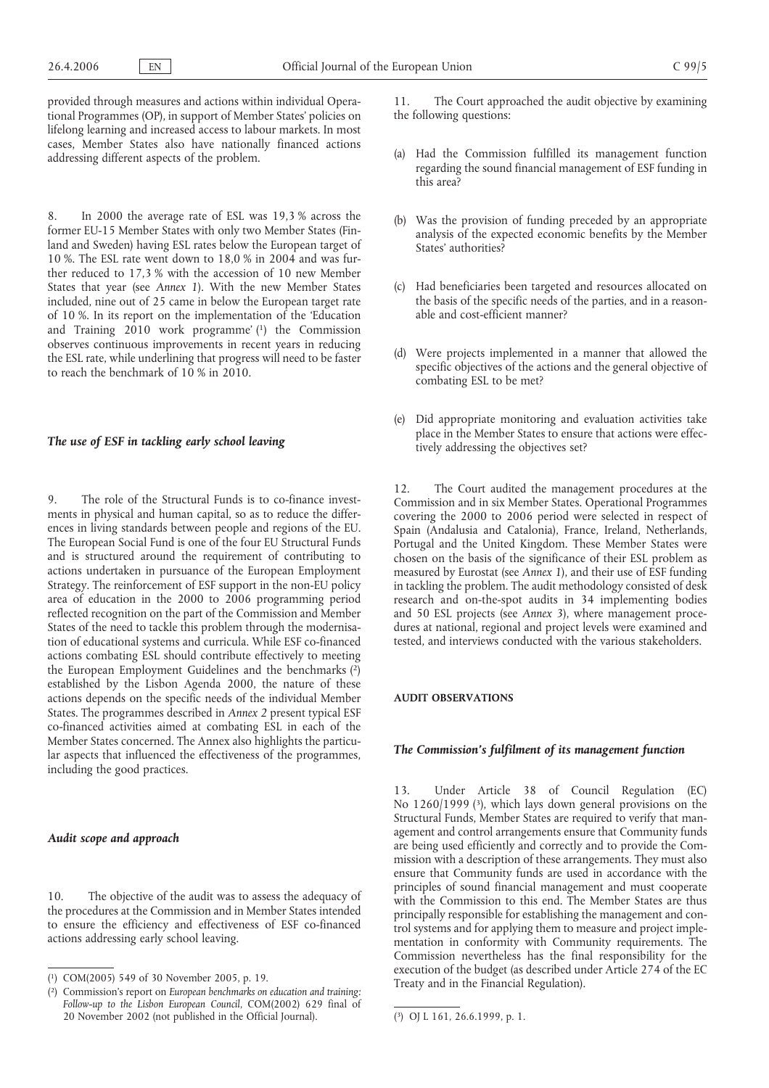provided through measures and actions within individual Operational Programmes (OP), in support of Member States' policies on lifelong learning and increased access to labour markets. In most cases, Member States also have nationally financed actions addressing different aspects of the problem.

8. In 2000 the average rate of ESL was 19,3 % across the former EU-15 Member States with only two Member States (Finland and Sweden) having ESL rates below the European target of 10 %. The ESL rate went down to 18,0 % in 2004 and was further reduced to 17,3 % with the accession of 10 new Member States that year (see *Annex 1*). With the new Member States included, nine out of 25 came in below the European target rate of 10 %. In its report on the implementation of the 'Education and Training 2010 work programme' (1) the Commission observes continuous improvements in recent years in reducing the ESL rate, while underlining that progress will need to be faster to reach the benchmark of 10 % in 2010.

#### *The use of ESF in tackling early school leaving*

9. The role of the Structural Funds is to co-finance investments in physical and human capital, so as to reduce the differences in living standards between people and regions of the EU. The European Social Fund is one of the four EU Structural Funds and is structured around the requirement of contributing to actions undertaken in pursuance of the European Employment Strategy. The reinforcement of ESF support in the non-EU policy area of education in the 2000 to 2006 programming period reflected recognition on the part of the Commission and Member States of the need to tackle this problem through the modernisation of educational systems and curricula. While ESF co-financed actions combating ESL should contribute effectively to meeting the European Employment Guidelines and the benchmarks (2) established by the Lisbon Agenda 2000, the nature of these actions depends on the specific needs of the individual Member States. The programmes described in *Annex 2* present typical ESF co-financed activities aimed at combating ESL in each of the Member States concerned. The Annex also highlights the particular aspects that influenced the effectiveness of the programmes, including the good practices.

## *Audit scope and approach*

10. The objective of the audit was to assess the adequacy of the procedures at the Commission and in Member States intended to ensure the efficiency and effectiveness of ESF co-financed actions addressing early school leaving.

11. The Court approached the audit objective by examining the following questions:

- (a) Had the Commission fulfilled its management function regarding the sound financial management of ESF funding in this area?
- (b) Was the provision of funding preceded by an appropriate analysis of the expected economic benefits by the Member States' authorities?
- (c) Had beneficiaries been targeted and resources allocated on the basis of the specific needs of the parties, and in a reasonable and cost-efficient manner?
- (d) Were projects implemented in a manner that allowed the specific objectives of the actions and the general objective of combating ESL to be met?
- (e) Did appropriate monitoring and evaluation activities take place in the Member States to ensure that actions were effectively addressing the objectives set?

12. The Court audited the management procedures at the Commission and in six Member States. Operational Programmes covering the 2000 to 2006 period were selected in respect of Spain (Andalusia and Catalonia), France, Ireland, Netherlands, Portugal and the United Kingdom. These Member States were chosen on the basis of the significance of their ESL problem as measured by Eurostat (see *Annex 1*), and their use of ESF funding in tackling the problem. The audit methodology consisted of desk research and on-the-spot audits in 34 implementing bodies and 50 ESL projects (see *Annex 3*), where management procedures at national, regional and project levels were examined and tested, and interviews conducted with the various stakeholders.

#### **AUDIT OBSERVATIONS**

#### *The Commission's fulfilment of its management function*

13. Under Article 38 of Council Regulation (EC) No 1260/1999 (3), which lays down general provisions on the Structural Funds, Member States are required to verify that management and control arrangements ensure that Community funds are being used efficiently and correctly and to provide the Commission with a description of these arrangements. They must also ensure that Community funds are used in accordance with the principles of sound financial management and must cooperate with the Commission to this end. The Member States are thus principally responsible for establishing the management and control systems and for applying them to measure and project implementation in conformity with Community requirements. The Commission nevertheless has the final responsibility for the execution of the budget (as described under Article 274 of the EC<br>Treaty and in the Financial Regulation). ( $\frac{1}{2}$  COM(2005) 549 of 30 November 2005, p. 19.<br>  $\frac{1}{2}$  Convention of a Financial Regulation).

<sup>(</sup> 2) Commission's report on *European benchmarks on education and training: Follow-up to the Lisbon European Council*, COM(2002) 629 final of 20 November 2002 (not published in the Official Journal). (

<sup>3)</sup> OJ L 161, 26.6.1999, p. 1.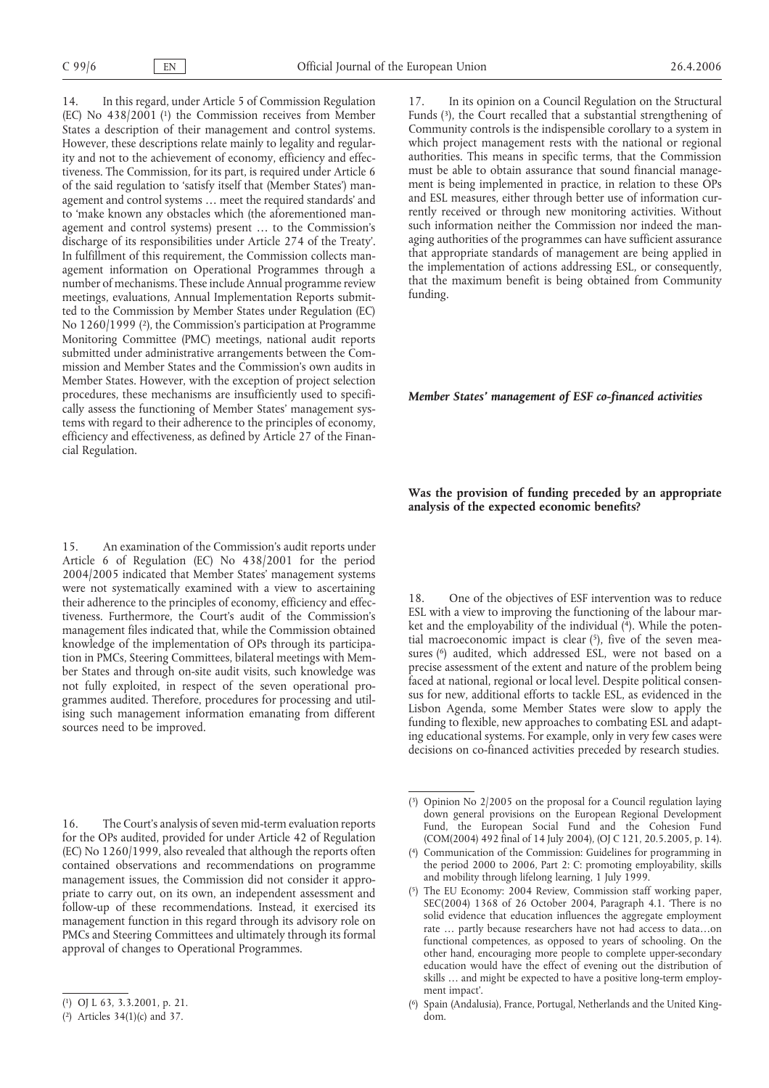14. In this regard, under Article 5 of Commission Regulation (EC) No 438/2001 (1) the Commission receives from Member States a description of their management and control systems. However, these descriptions relate mainly to legality and regularity and not to the achievement of economy, efficiency and effectiveness. The Commission, for its part, is required under Article 6 of the said regulation to 'satisfy itself that (Member States') management and control systems … meet the required standards' and to 'make known any obstacles which (the aforementioned management and control systems) present … to the Commission's discharge of its responsibilities under Article 274 of the Treaty'. In fulfillment of this requirement, the Commission collects management information on Operational Programmes through a number of mechanisms. These include Annual programme review meetings, evaluations, Annual Implementation Reports submitted to the Commission by Member States under Regulation (EC) No 1260/1999 (2), the Commission's participation at Programme Monitoring Committee (PMC) meetings, national audit reports submitted under administrative arrangements between the Commission and Member States and the Commission's own audits in Member States. However, with the exception of project selection procedures, these mechanisms are insufficiently used to specifically assess the functioning of Member States' management systems with regard to their adherence to the principles of economy, efficiency and effectiveness, as defined by Article 27 of the Financial Regulation.

15. An examination of the Commission's audit reports under Article 6 of Regulation (EC) No 438/2001 for the period 2004/2005 indicated that Member States' management systems were not systematically examined with a view to ascertaining their adherence to the principles of economy, efficiency and effectiveness. Furthermore, the Court's audit of the Commission's management files indicated that, while the Commission obtained knowledge of the implementation of OPs through its participation in PMCs, Steering Committees, bilateral meetings with Member States and through on-site audit visits, such knowledge was not fully exploited, in respect of the seven operational programmes audited. Therefore, procedures for processing and utilising such management information emanating from different sources need to be improved.

16. The Court's analysis of seven mid-term evaluation reports for the OPs audited, provided for under Article 42 of Regulation (EC) No 1260/1999, also revealed that although the reports often contained observations and recommendations on programme management issues, the Commission did not consider it appropriate to carry out, on its own, an independent assessment and follow-up of these recommendations. Instead, it exercised its management function in this regard through its advisory role on PMCs and Steering Committees and ultimately through its formal approval of changes to Operational Programmes.

17. In its opinion on a Council Regulation on the Structural Funds (3), the Court recalled that a substantial strengthening of Community controls is the indispensible corollary to a system in which project management rests with the national or regional authorities. This means in specific terms, that the Commission must be able to obtain assurance that sound financial management is being implemented in practice, in relation to these OPs and ESL measures, either through better use of information currently received or through new monitoring activities. Without such information neither the Commission nor indeed the managing authorities of the programmes can have sufficient assurance that appropriate standards of management are being applied in the implementation of actions addressing ESL, or consequently, that the maximum benefit is being obtained from Community funding.

## *Member States' management of ESF co-financed activities*

## **Was the provision of funding preceded by an appropriate analysis of the expected economic benefits?**

18. One of the objectives of ESF intervention was to reduce ESL with a view to improving the functioning of the labour market and the employability of the individual (4). While the potential macroeconomic impact is clear  $(5)$ , five of the seven measures (<sup>6</sup>) audited, which addressed ESL, were not based on a precise assessment of the extent and nature of the problem being faced at national, regional or local level. Despite political consensus for new, additional efforts to tackle ESL, as evidenced in the Lisbon Agenda, some Member States were slow to apply the funding to flexible, new approaches to combating ESL and adapting educational systems. For example, only in very few cases were decisions on co-financed activities preceded by research studies.

<sup>(</sup> 1) OJ L 63, 3.3.2001, p. 21.

<sup>(</sup> 2) Articles 34(1)(c) and 37.

<sup>(</sup> 3) Opinion No 2/2005 on the proposal for a Council regulation laying down general provisions on the European Regional Development Fund, the European Social Fund and the Cohesion Fund (COM(2004) 492 final of 14 July 2004), (OJ C 121, 20.5.2005, p. 14).

<sup>(</sup> 4) Communication of the Commission: Guidelines for programming in the period 2000 to 2006, Part 2: C: promoting employability, skills and mobility through lifelong learning, 1 July 1999.

<sup>(</sup> 5) The EU Economy: 2004 Review, Commission staff working paper, SEC(2004)  $1368$  of 26 October 2004, Paragraph 4.1. There is no solid evidence that education influences the aggregate employment rate … partly because researchers have not had access to data…on functional competences, as opposed to years of schooling. On the other hand, encouraging more people to complete upper-secondary education would have the effect of evening out the distribution of skills … and might be expected to have a positive long-term employment impact'.

<sup>(</sup> 6) Spain (Andalusia), France, Portugal, Netherlands and the United Kingdom.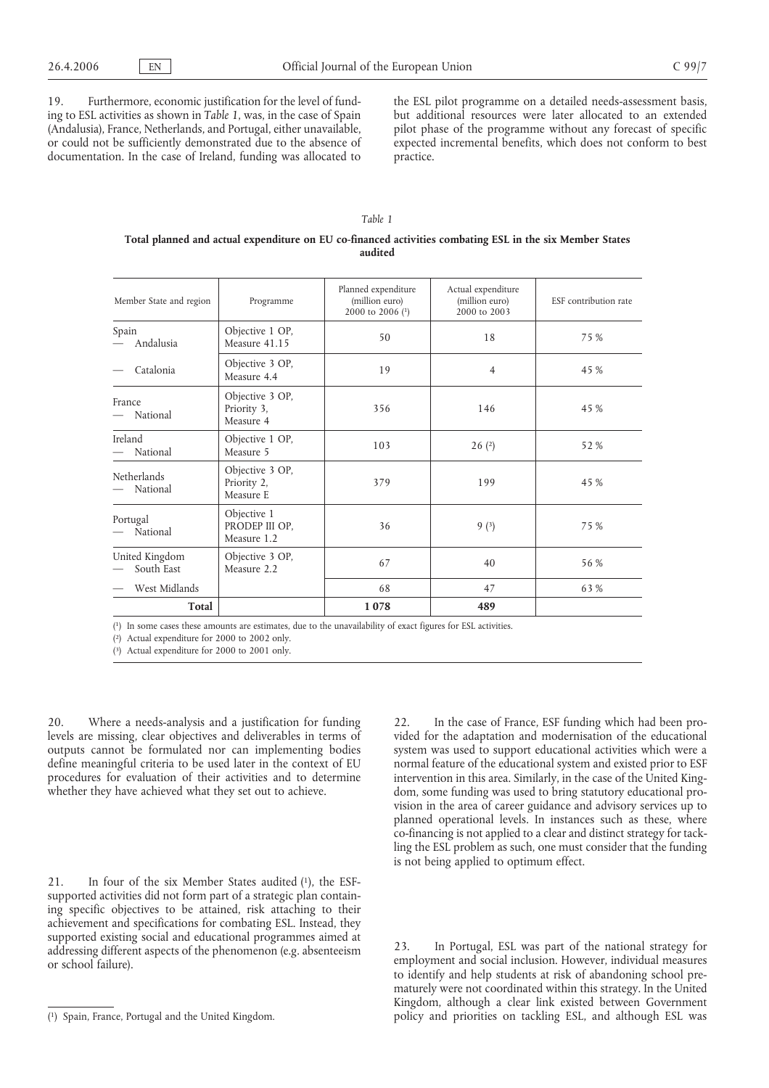19. Furthermore, economic justification for the level of funding to ESL activities as shown in *Table 1*, was, in the case of Spain (Andalusia), France, Netherlands, and Portugal, either unavailable, or could not be sufficiently demonstrated due to the absence of documentation. In the case of Ireland, funding was allocated to

the ESL pilot programme on a detailed needs-assessment basis, but additional resources were later allocated to an extended pilot phase of the programme without any forecast of specific expected incremental benefits, which does not conform to best practice.

## *Table 1*

#### **Total planned and actual expenditure on EU co-financed activities combating ESL in the six Member States audited**

| Member State and region      | Programme                                    | Planned expenditure<br>(million euro)<br>2000 to 2006 (1) | Actual expenditure<br>(million euro)<br>2000 to 2003 | ESF contribution rate |
|------------------------------|----------------------------------------------|-----------------------------------------------------------|------------------------------------------------------|-----------------------|
| Spain<br>Andalusia           | Objective 1 OP,<br>Measure 41.15             | 50                                                        | 18                                                   | 75 %                  |
| Catalonia                    | Objective 3 OP,<br>Measure 4.4               | 19                                                        | $\overline{4}$                                       | 45 %                  |
| France<br>National           | Objective 3 OP,<br>Priority 3,<br>Measure 4  | 356                                                       | 146                                                  | 45 %                  |
| Ireland<br>National          | Objective 1 OP,<br>Measure 5                 | 103                                                       | 26(2)                                                | 52 %                  |
| Netherlands<br>National      | Objective 3 OP,<br>Priority 2,<br>Measure E  | 379                                                       | 199                                                  | 45 %                  |
| Portugal<br>National         | Objective 1<br>PRODEP III OP,<br>Measure 1.2 | 36                                                        | 9(3)                                                 | 75 %                  |
| United Kingdom<br>South East | Objective 3 OP,<br>Measure 2.2               | 67                                                        | 40                                                   | 56 %                  |
| West Midlands                |                                              | 68                                                        | 47                                                   | 63 %                  |
| <b>Total</b>                 |                                              | 1078                                                      | 489                                                  |                       |

( 1) In some cases these amounts are estimates, due to the unavailability of exact figures for ESL activities.

( 2) Actual expenditure for 2000 to 2002 only.

( 3) Actual expenditure for 2000 to 2001 only.

20. Where a needs-analysis and a justification for funding levels are missing, clear objectives and deliverables in terms of outputs cannot be formulated nor can implementing bodies define meaningful criteria to be used later in the context of EU procedures for evaluation of their activities and to determine whether they have achieved what they set out to achieve.

21. In four of the six Member States audited (1), the ESFsupported activities did not form part of a strategic plan containing specific objectives to be attained, risk attaching to their achievement and specifications for combating ESL. Instead, they supported existing social and educational programmes aimed at addressing different aspects of the phenomenon (e.g. absenteeism or school failure).

22. In the case of France, ESF funding which had been provided for the adaptation and modernisation of the educational system was used to support educational activities which were a normal feature of the educational system and existed prior to ESF intervention in this area. Similarly, in the case of the United Kingdom, some funding was used to bring statutory educational provision in the area of career guidance and advisory services up to planned operational levels. In instances such as these, where co-financing is not applied to a clear and distinct strategy for tackling the ESL problem as such, one must consider that the funding is not being applied to optimum effect.

23. In Portugal, ESL was part of the national strategy for employment and social inclusion. However, individual measures to identify and help students at risk of abandoning school prematurely were not coordinated within this strategy. In the United Kingdom, although a clear link existed between Government ( policy and priorities on tackling ESL, and although ESL was 1) Spain, France, Portugal and the United Kingdom.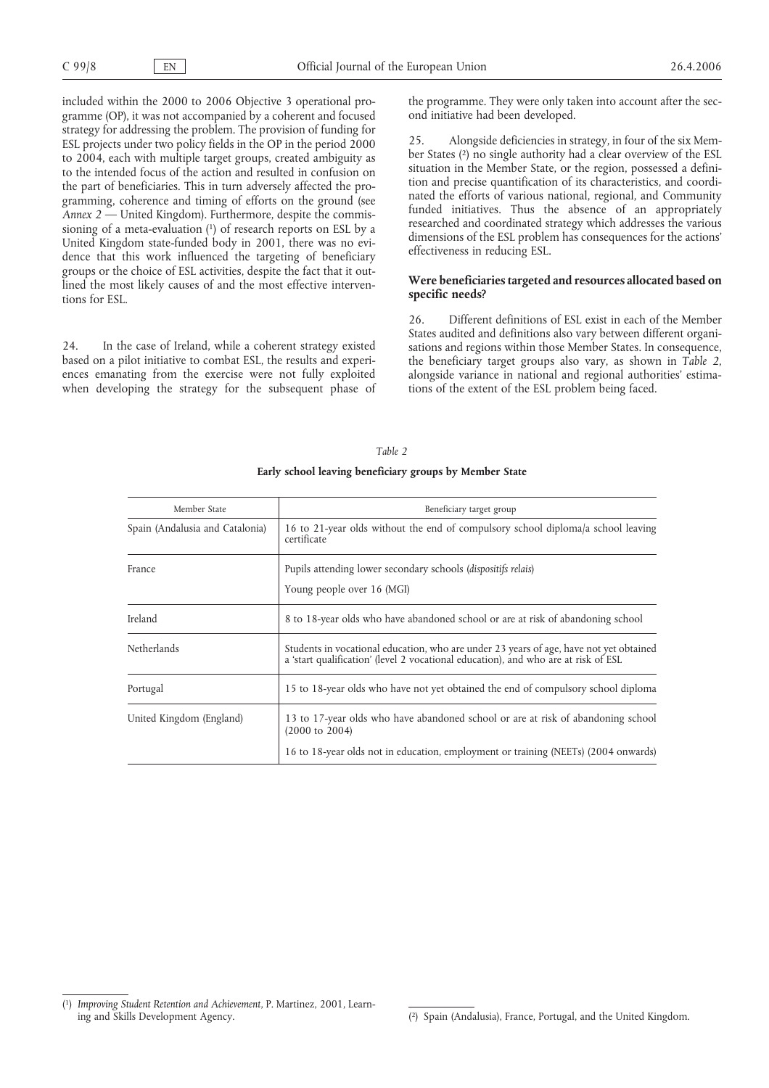included within the 2000 to 2006 Objective 3 operational programme (OP), it was not accompanied by a coherent and focused strategy for addressing the problem. The provision of funding for ESL projects under two policy fields in the OP in the period 2000 to 2004, each with multiple target groups, created ambiguity as to the intended focus of the action and resulted in confusion on the part of beneficiaries. This in turn adversely affected the programming, coherence and timing of efforts on the ground (see *Annex 2* — United Kingdom). Furthermore, despite the commissioning of a meta-evaluation (1) of research reports on ESL by a United Kingdom state-funded body in 2001, there was no evidence that this work influenced the targeting of beneficiary groups or the choice of ESL activities, despite the fact that it outlined the most likely causes of and the most effective interventions for ESL.

24. In the case of Ireland, while a coherent strategy existed based on a pilot initiative to combat ESL, the results and experiences emanating from the exercise were not fully exploited when developing the strategy for the subsequent phase of the programme. They were only taken into account after the second initiative had been developed.

25. Alongside deficiencies in strategy, in four of the six Member States (2) no single authority had a clear overview of the ESL situation in the Member State, or the region, possessed a definition and precise quantification of its characteristics, and coordinated the efforts of various national, regional, and Community funded initiatives. Thus the absence of an appropriately researched and coordinated strategy which addresses the various dimensions of the ESL problem has consequences for the actions' effectiveness in reducing ESL.

#### **Were beneficiaries targeted and resources allocated based on specific needs?**

26. Different definitions of ESL exist in each of the Member States audited and definitions also vary between different organisations and regions within those Member States. In consequence, the beneficiary target groups also vary, as shown in *Table 2*, alongside variance in national and regional authorities' estimations of the extent of the ESL problem being faced.

| Member State                    | Beneficiary target group                                                                                                                                                     |
|---------------------------------|------------------------------------------------------------------------------------------------------------------------------------------------------------------------------|
| Spain (Andalusia and Catalonia) | 16 to 21-year olds without the end of compulsory school diploma/a school leaving<br>certificate                                                                              |
| France                          | Pupils attending lower secondary schools ( <i>dispositifs relais</i> )<br>Young people over 16 (MGI)                                                                         |
| Ireland                         | 8 to 18-year olds who have abandoned school or are at risk of abandoning school                                                                                              |
| <b>Netherlands</b>              | Students in vocational education, who are under 23 years of age, have not yet obtained<br>a 'start qualification' (level 2 vocational education), and who are at risk of ESL |
| Portugal                        | 15 to 18-year olds who have not yet obtained the end of compulsory school diploma                                                                                            |
| United Kingdom (England)        | 13 to 17-year olds who have abandoned school or are at risk of abandoning school<br>$(2000 \text{ to } 2004)$                                                                |
|                                 | 16 to 18-year olds not in education, employment or training (NEETs) (2004 onwards)                                                                                           |

# *Table 2* **Early school leaving beneficiary groups by Member State**

<sup>(</sup> 1) *Improving Student Retention and Achievement*, P. Martinez, 2001, Learning and Skills Development Agency.

<sup>2)</sup> Spain (Andalusia), France, Portugal, and the United Kingdom.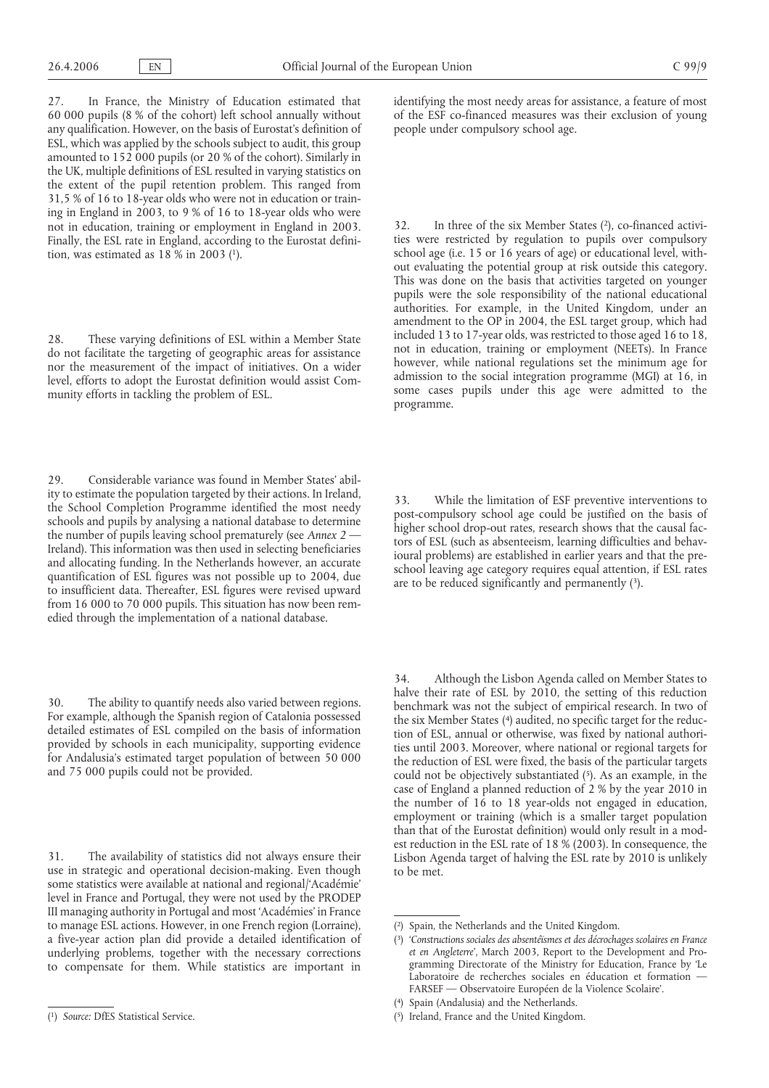27. In France, the Ministry of Education estimated that 60 000 pupils (8 % of the cohort) left school annually without any qualification. However, on the basis of Eurostat's definition of ESL, which was applied by the schools subject to audit, this group amounted to 152 000 pupils (or 20 % of the cohort). Similarly in the UK, multiple definitions of ESL resulted in varying statistics on the extent of the pupil retention problem. This ranged from 31,5 % of 16 to 18-year olds who were not in education or training in England in 2003, to 9 % of 16 to 18-year olds who were not in education, training or employment in England in 2003. Finally, the ESL rate in England, according to the Eurostat definition, was estimated as 18 % in 2003 (1).

28. These varying definitions of ESL within a Member State do not facilitate the targeting of geographic areas for assistance nor the measurement of the impact of initiatives. On a wider level, efforts to adopt the Eurostat definition would assist Community efforts in tackling the problem of ESL.

29. Considerable variance was found in Member States' ability to estimate the population targeted by their actions. In Ireland, the School Completion Programme identified the most needy schools and pupils by analysing a national database to determine the number of pupils leaving school prematurely (see *Annex 2* — Ireland). This information was then used in selecting beneficiaries and allocating funding. In the Netherlands however, an accurate quantification of ESL figures was not possible up to 2004, due to insufficient data. Thereafter, ESL figures were revised upward from 16 000 to 70 000 pupils. This situation has now been remedied through the implementation of a national database.

30. The ability to quantify needs also varied between regions. For example, although the Spanish region of Catalonia possessed detailed estimates of ESL compiled on the basis of information provided by schools in each municipality, supporting evidence for Andalusia's estimated target population of between 50 000 and 75 000 pupils could not be provided.

31. The availability of statistics did not always ensure their use in strategic and operational decision-making. Even though some statistics were available at national and regional/'Académie' level in France and Portugal, they were not used by the PRODEP III managing authority in Portugal and most 'Académies' in France to manage ESL actions. However, in one French region (Lorraine), a five-year action plan did provide a detailed identification of underlying problems, together with the necessary corrections to compensate for them. While statistics are important in

identifying the most needy areas for assistance, a feature of most of the ESF co-financed measures was their exclusion of young people under compulsory school age.

32. In three of the six Member States (2), co-financed activities were restricted by regulation to pupils over compulsory school age (i.e. 15 or 16 years of age) or educational level, without evaluating the potential group at risk outside this category. This was done on the basis that activities targeted on younger pupils were the sole responsibility of the national educational authorities. For example, in the United Kingdom, under an amendment to the OP in 2004, the ESL target group, which had included 13 to 17-year olds, was restricted to those aged 16 to 18, not in education, training or employment (NEETs). In France however, while national regulations set the minimum age for admission to the social integration programme (MGI) at 16, in some cases pupils under this age were admitted to the programme.

33. While the limitation of ESF preventive interventions to post-compulsory school age could be justified on the basis of higher school drop-out rates, research shows that the causal factors of ESL (such as absenteeism, learning difficulties and behavioural problems) are established in earlier years and that the preschool leaving age category requires equal attention, if ESL rates are to be reduced significantly and permanently (3).

34. Although the Lisbon Agenda called on Member States to halve their rate of ESL by 2010, the setting of this reduction benchmark was not the subject of empirical research. In two of the six Member States (4) audited, no specific target for the reduction of ESL, annual or otherwise, was fixed by national authorities until 2003. Moreover, where national or regional targets for the reduction of ESL were fixed, the basis of the particular targets could not be objectively substantiated (5). As an example, in the case of England a planned reduction of 2 % by the year 2010 in the number of 16 to 18 year-olds not engaged in education, employment or training (which is a smaller target population than that of the Eurostat definition) would only result in a modest reduction in the ESL rate of 18 % (2003). In consequence, the Lisbon Agenda target of halving the ESL rate by 2010 is unlikely to be met.

<sup>(</sup> 1) *Source:* DfES Statistical Service.

<sup>(</sup> 2) Spain, the Netherlands and the United Kingdom.

<sup>(</sup> 3) '*Constructions sociales des absentéïsmes et des décrochages scolaires en France et en Angleterre*', March 2003, Report to the Development and Programming Directorate of the Ministry for Education, France by 'Le Laboratoire de recherches sociales en éducation et formation — FARSEF — Observatoire Européen de la Violence Scolaire'.

<sup>(</sup> 4) Spain (Andalusia) and the Netherlands.

<sup>(</sup> 5) Ireland, France and the United Kingdom.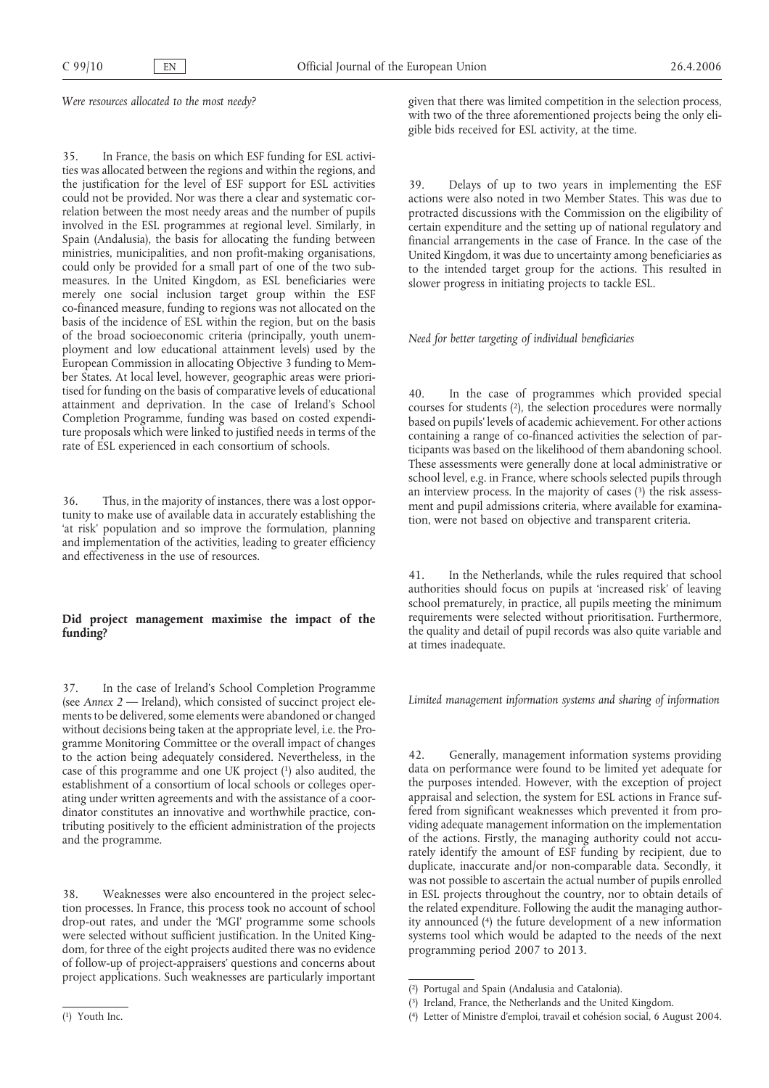*Were resources allocated to the most needy?*

35. In France, the basis on which ESF funding for ESL activities was allocated between the regions and within the regions, and the justification for the level of ESF support for ESL activities could not be provided. Nor was there a clear and systematic correlation between the most needy areas and the number of pupils involved in the ESL programmes at regional level. Similarly, in Spain (Andalusia), the basis for allocating the funding between ministries, municipalities, and non profit-making organisations, could only be provided for a small part of one of the two submeasures. In the United Kingdom, as ESL beneficiaries were merely one social inclusion target group within the ESF co-financed measure, funding to regions was not allocated on the basis of the incidence of ESL within the region, but on the basis of the broad socioeconomic criteria (principally, youth unemployment and low educational attainment levels) used by the European Commission in allocating Objective 3 funding to Member States. At local level, however, geographic areas were prioritised for funding on the basis of comparative levels of educational attainment and deprivation. In the case of Ireland's School Completion Programme, funding was based on costed expenditure proposals which were linked to justified needs in terms of the rate of ESL experienced in each consortium of schools.

36. Thus, in the majority of instances, there was a lost opportunity to make use of available data in accurately establishing the 'at risk' population and so improve the formulation, planning and implementation of the activities, leading to greater efficiency and effectiveness in the use of resources.

# **Did project management maximise the impact of the funding?**

37. In the case of Ireland's School Completion Programme (see *Annex 2* — Ireland), which consisted of succinct project elements to be delivered, some elements were abandoned or changed without decisions being taken at the appropriate level, i.e. the Programme Monitoring Committee or the overall impact of changes to the action being adequately considered. Nevertheless, in the case of this programme and one UK project (1) also audited, the establishment of a consortium of local schools or colleges operating under written agreements and with the assistance of a coordinator constitutes an innovative and worthwhile practice, contributing positively to the efficient administration of the projects and the programme.

38. Weaknesses were also encountered in the project selection processes. In France, this process took no account of school drop-out rates, and under the 'MGI' programme some schools were selected without sufficient justification. In the United Kingdom, for three of the eight projects audited there was no evidence of follow-up of project-appraisers' questions and concerns about project applications. Such weaknesses are particularly important given that there was limited competition in the selection process, with two of the three aforementioned projects being the only eligible bids received for ESL activity, at the time.

39. Delays of up to two years in implementing the ESF actions were also noted in two Member States. This was due to protracted discussions with the Commission on the eligibility of certain expenditure and the setting up of national regulatory and financial arrangements in the case of France. In the case of the United Kingdom, it was due to uncertainty among beneficiaries as to the intended target group for the actions. This resulted in slower progress in initiating projects to tackle ESL.

*Need for better targeting of individual beneficiaries*

40. In the case of programmes which provided special courses for students (2), the selection procedures were normally based on pupils' levels of academic achievement. For other actions containing a range of co-financed activities the selection of participants was based on the likelihood of them abandoning school. These assessments were generally done at local administrative or school level, e.g. in France, where schools selected pupils through an interview process. In the majority of cases  $(3)$  the risk assessment and pupil admissions criteria, where available for examination, were not based on objective and transparent criteria.

41. In the Netherlands, while the rules required that school authorities should focus on pupils at 'increased risk' of leaving school prematurely, in practice, all pupils meeting the minimum requirements were selected without prioritisation. Furthermore, the quality and detail of pupil records was also quite variable and at times inadequate.

*Limited management information systems and sharing of information*

42. Generally, management information systems providing data on performance were found to be limited yet adequate for the purposes intended. However, with the exception of project appraisal and selection, the system for ESL actions in France suffered from significant weaknesses which prevented it from providing adequate management information on the implementation of the actions. Firstly, the managing authority could not accurately identify the amount of ESF funding by recipient, due to duplicate, inaccurate and/or non-comparable data. Secondly, it was not possible to ascertain the actual number of pupils enrolled in ESL projects throughout the country, nor to obtain details of the related expenditure. Following the audit the managing authority announced (4) the future development of a new information systems tool which would be adapted to the needs of the next programming period 2007 to 2013.

<sup>(</sup> 1) Youth Inc.

<sup>(</sup> 2) Portugal and Spain (Andalusia and Catalonia).

<sup>(</sup> 3) Ireland, France, the Netherlands and the United Kingdom.

<sup>(</sup> 4) Letter of Ministre d'emploi, travail et cohésion social, 6 August 2004.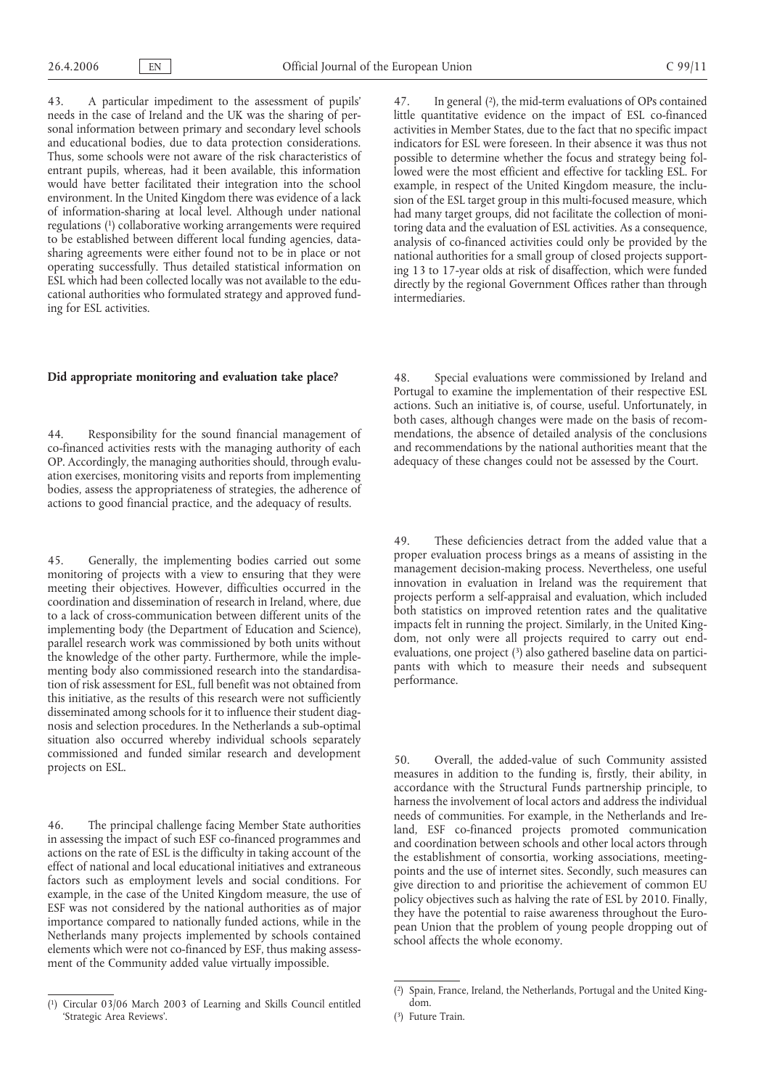43. A particular impediment to the assessment of pupils' needs in the case of Ireland and the UK was the sharing of personal information between primary and secondary level schools and educational bodies, due to data protection considerations. Thus, some schools were not aware of the risk characteristics of entrant pupils, whereas, had it been available, this information would have better facilitated their integration into the school environment. In the United Kingdom there was evidence of a lack of information-sharing at local level. Although under national regulations (1) collaborative working arrangements were required to be established between different local funding agencies, datasharing agreements were either found not to be in place or not operating successfully. Thus detailed statistical information on ESL which had been collected locally was not available to the educational authorities who formulated strategy and approved funding for ESL activities.

## **Did appropriate monitoring and evaluation take place?**

44. Responsibility for the sound financial management of co-financed activities rests with the managing authority of each OP. Accordingly, the managing authorities should, through evaluation exercises, monitoring visits and reports from implementing bodies, assess the appropriateness of strategies, the adherence of actions to good financial practice, and the adequacy of results.

45. Generally, the implementing bodies carried out some monitoring of projects with a view to ensuring that they were meeting their objectives. However, difficulties occurred in the coordination and dissemination of research in Ireland, where, due to a lack of cross-communication between different units of the implementing body (the Department of Education and Science), parallel research work was commissioned by both units without the knowledge of the other party. Furthermore, while the implementing body also commissioned research into the standardisation of risk assessment for ESL, full benefit was not obtained from this initiative, as the results of this research were not sufficiently disseminated among schools for it to influence their student diagnosis and selection procedures. In the Netherlands a sub-optimal situation also occurred whereby individual schools separately commissioned and funded similar research and development projects on ESL.

46. The principal challenge facing Member State authorities in assessing the impact of such ESF co-financed programmes and actions on the rate of ESL is the difficulty in taking account of the effect of national and local educational initiatives and extraneous factors such as employment levels and social conditions. For example, in the case of the United Kingdom measure, the use of ESF was not considered by the national authorities as of major importance compared to nationally funded actions, while in the Netherlands many projects implemented by schools contained elements which were not co-financed by ESF, thus making assessment of the Community added value virtually impossible.

47. In general (2), the mid-term evaluations of OPs contained little quantitative evidence on the impact of ESL co-financed activities in Member States, due to the fact that no specific impact indicators for ESL were foreseen. In their absence it was thus not possible to determine whether the focus and strategy being followed were the most efficient and effective for tackling ESL. For example, in respect of the United Kingdom measure, the inclusion of the ESL target group in this multi-focused measure, which had many target groups, did not facilitate the collection of monitoring data and the evaluation of ESL activities. As a consequence, analysis of co-financed activities could only be provided by the national authorities for a small group of closed projects supporting 13 to 17-year olds at risk of disaffection, which were funded directly by the regional Government Offices rather than through intermediaries.

48. Special evaluations were commissioned by Ireland and Portugal to examine the implementation of their respective ESL actions. Such an initiative is, of course, useful. Unfortunately, in both cases, although changes were made on the basis of recommendations, the absence of detailed analysis of the conclusions and recommendations by the national authorities meant that the adequacy of these changes could not be assessed by the Court.

49. These deficiencies detract from the added value that a proper evaluation process brings as a means of assisting in the management decision-making process. Nevertheless, one useful innovation in evaluation in Ireland was the requirement that projects perform a self-appraisal and evaluation, which included both statistics on improved retention rates and the qualitative impacts felt in running the project. Similarly, in the United Kingdom, not only were all projects required to carry out endevaluations, one project (3) also gathered baseline data on participants with which to measure their needs and subsequent performance.

50. Overall, the added-value of such Community assisted measures in addition to the funding is, firstly, their ability, in accordance with the Structural Funds partnership principle, to harness the involvement of local actors and address the individual needs of communities. For example, in the Netherlands and Ireland, ESF co-financed projects promoted communication and coordination between schools and other local actors through the establishment of consortia, working associations, meetingpoints and the use of internet sites. Secondly, such measures can give direction to and prioritise the achievement of common EU policy objectives such as halving the rate of ESL by 2010. Finally, they have the potential to raise awareness throughout the European Union that the problem of young people dropping out of school affects the whole economy.

<sup>(</sup> 1) Circular 03/06 March 2003 of Learning and Skills Council entitled 'Strategic Area Reviews'.

<sup>(</sup> 2) Spain, France, Ireland, the Netherlands, Portugal and the United Kingdom.

<sup>(</sup> 3) Future Train.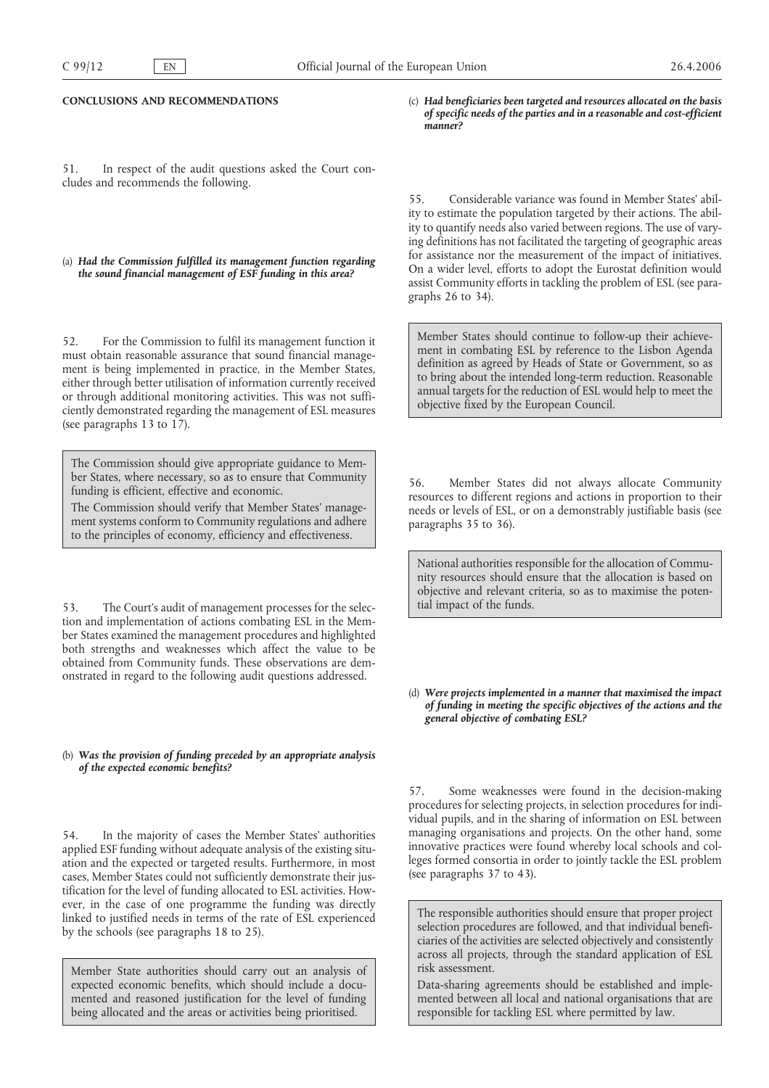#### **CONCLUSIONS AND RECOMMENDATIONS**

51. In respect of the audit questions asked the Court concludes and recommends the following.

## (a) *Had the Commission fulfilled its management function regarding the sound financial management of ESF funding in this area?*

52. For the Commission to fulfil its management function it must obtain reasonable assurance that sound financial management is being implemented in practice, in the Member States, either through better utilisation of information currently received or through additional monitoring activities. This was not sufficiently demonstrated regarding the management of ESL measures (see paragraphs 13 to 17).

The Commission should give appropriate guidance to Member States, where necessary, so as to ensure that Community funding is efficient, effective and economic.

The Commission should verify that Member States' management systems conform to Community regulations and adhere to the principles of economy, efficiency and effectiveness.

53. The Court's audit of management processes for the selection and implementation of actions combating ESL in the Member States examined the management procedures and highlighted both strengths and weaknesses which affect the value to be obtained from Community funds. These observations are demonstrated in regard to the following audit questions addressed.

#### (b) *Was the provision of funding preceded by an appropriate analysis of the expected economic benefits?*

54. In the majority of cases the Member States' authorities applied ESF funding without adequate analysis of the existing situation and the expected or targeted results. Furthermore, in most cases, Member States could not sufficiently demonstrate their justification for the level of funding allocated to ESL activities. However, in the case of one programme the funding was directly linked to justified needs in terms of the rate of ESL experienced by the schools (see paragraphs 18 to 25).

Member State authorities should carry out an analysis of expected economic benefits, which should include a documented and reasoned justification for the level of funding being allocated and the areas or activities being prioritised.

(c) *Had beneficiaries been targeted and resources allocated on the basis of specific needs of the parties and in a reasonable and cost-efficient manner?*

55. Considerable variance was found in Member States' ability to estimate the population targeted by their actions. The ability to quantify needs also varied between regions. The use of varying definitions has not facilitated the targeting of geographic areas for assistance nor the measurement of the impact of initiatives. On a wider level, efforts to adopt the Eurostat definition would assist Community efforts in tackling the problem of ESL (see paragraphs 26 to 34).

Member States should continue to follow-up their achievement in combating ESL by reference to the Lisbon Agenda definition as agreed by Heads of State or Government, so as to bring about the intended long-term reduction. Reasonable annual targets for the reduction of ESL would help to meet the objective fixed by the European Council.

56. Member States did not always allocate Community resources to different regions and actions in proportion to their needs or levels of ESL, or on a demonstrably justifiable basis (see paragraphs 35 to 36).

National authorities responsible for the allocation of Community resources should ensure that the allocation is based on objective and relevant criteria, so as to maximise the potential impact of the funds.

(d) *Were projects implemented in a manner that maximised the impact of funding in meeting the specific objectives of the actions and the general objective of combating ESL?*

57. Some weaknesses were found in the decision-making procedures for selecting projects, in selection procedures for individual pupils, and in the sharing of information on ESL between managing organisations and projects. On the other hand, some innovative practices were found whereby local schools and colleges formed consortia in order to jointly tackle the ESL problem (see paragraphs 37 to 43).

The responsible authorities should ensure that proper project selection procedures are followed, and that individual beneficiaries of the activities are selected objectively and consistently across all projects, through the standard application of ESL risk assessment.

Data-sharing agreements should be established and implemented between all local and national organisations that are responsible for tackling ESL where permitted by law.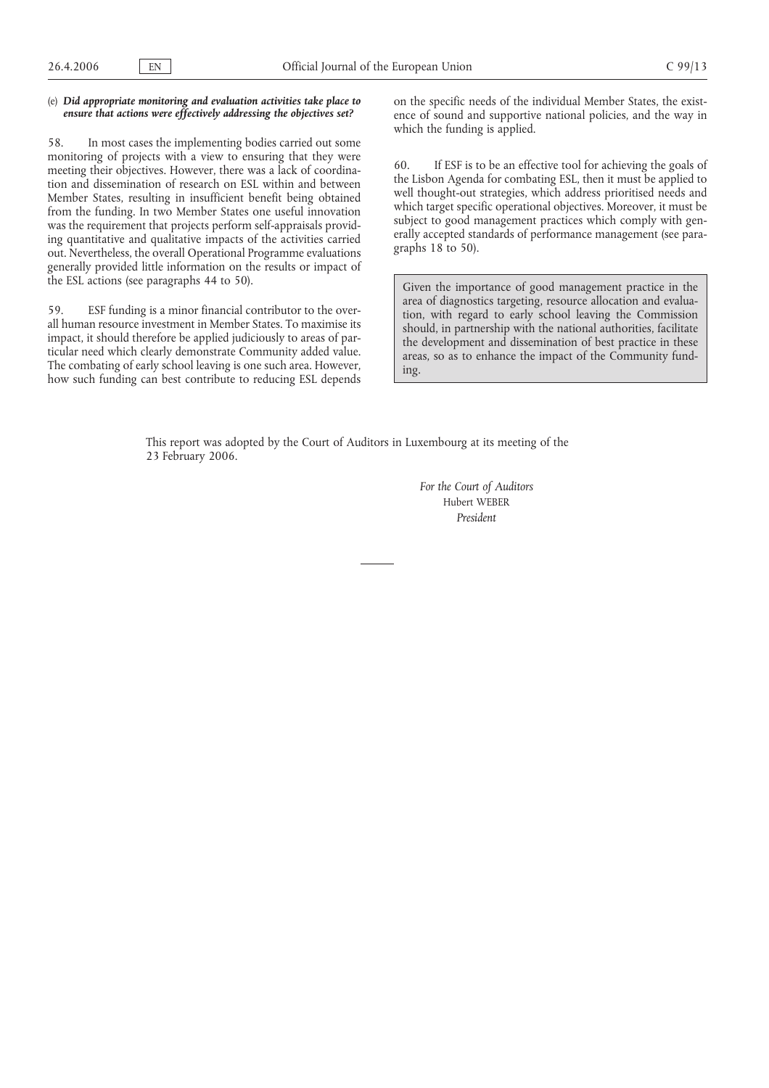#### (e) *Did appropriate monitoring and evaluation activities take place to ensure that actions were effectively addressing the objectives set?*

58. In most cases the implementing bodies carried out some monitoring of projects with a view to ensuring that they were meeting their objectives. However, there was a lack of coordination and dissemination of research on ESL within and between Member States, resulting in insufficient benefit being obtained from the funding. In two Member States one useful innovation was the requirement that projects perform self-appraisals providing quantitative and qualitative impacts of the activities carried out. Nevertheless, the overall Operational Programme evaluations generally provided little information on the results or impact of the ESL actions (see paragraphs 44 to 50).

59. ESF funding is a minor financial contributor to the overall human resource investment in Member States. To maximise its impact, it should therefore be applied judiciously to areas of particular need which clearly demonstrate Community added value. The combating of early school leaving is one such area. However, how such funding can best contribute to reducing ESL depends

on the specific needs of the individual Member States, the existence of sound and supportive national policies, and the way in which the funding is applied.

60. If ESF is to be an effective tool for achieving the goals of the Lisbon Agenda for combating ESL, then it must be applied to well thought-out strategies, which address prioritised needs and which target specific operational objectives. Moreover, it must be subject to good management practices which comply with generally accepted standards of performance management (see paragraphs 18 to 50).

Given the importance of good management practice in the area of diagnostics targeting, resource allocation and evaluation, with regard to early school leaving the Commission should, in partnership with the national authorities, facilitate the development and dissemination of best practice in these areas, so as to enhance the impact of the Community funding.

This report was adopted by the Court of Auditors in Luxembourg at its meeting of the 23 February 2006.

> *For the Court of Auditors* Hubert WEBER *President*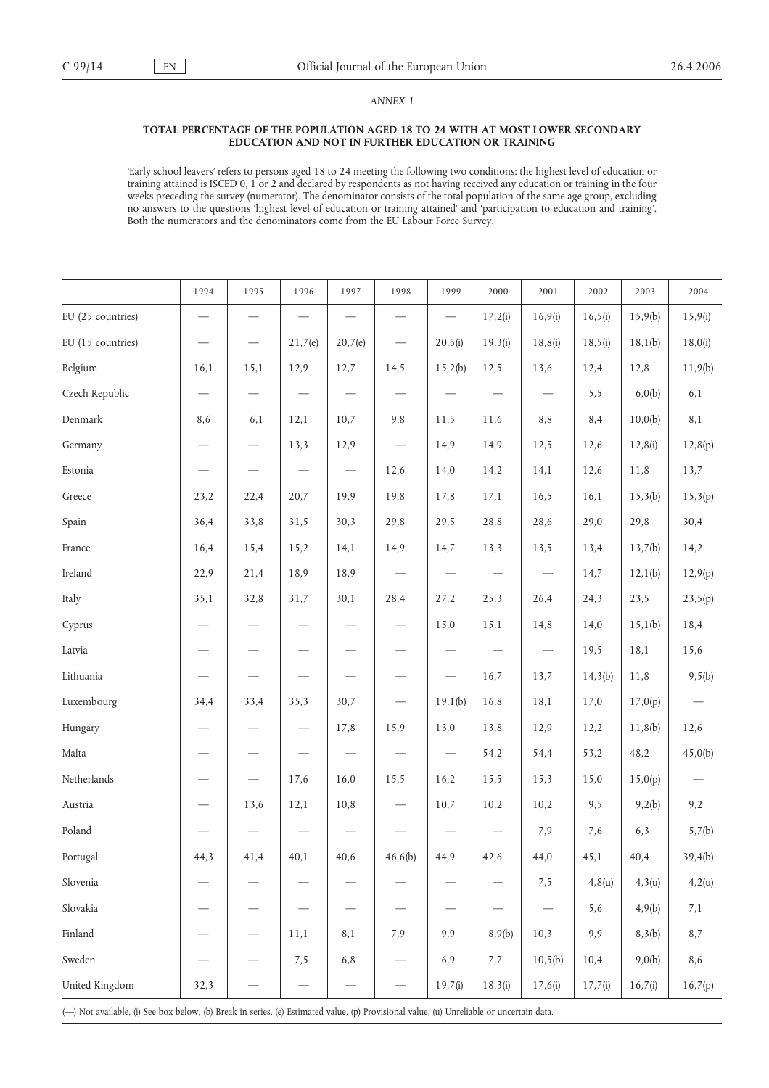## *ANNEX 1*

#### **TOTAL PERCENTAGE OF THE POPULATION AGED 18 TO 24 WITH AT MOST LOWER SECONDARY EDUCATION AND NOT IN FURTHER EDUCATION OR TRAINING**

'Early school leavers' refers to persons aged 18 to 24 meeting the following two conditions: the highest level of education or training attained is ISCED 0, 1 or 2 and declared by respondents as not having received any education or training in the four weeks preceding the survey (numerator). The denominator consists of the total population of the same age group, excluding no answers to the questions 'highest level of education or training attained' and 'participation to education and training'. Both the numerators and the denominators come from the EU Labour Force Survey.

|                   | 1994                            | 1995                          | 1996                            | 1997                            | 1998                           | 1999                           | 2000                     | 2001                     | 2002     | 2003    | 2004    |
|-------------------|---------------------------------|-------------------------------|---------------------------------|---------------------------------|--------------------------------|--------------------------------|--------------------------|--------------------------|----------|---------|---------|
| EU (25 countries) | $\overbrace{\qquad \qquad }^{}$ | $\overline{\phantom{0}}$      | $\overline{\phantom{m}}$        | $\overline{\phantom{m}}$        | $\overline{\phantom{m}}$       | $\overline{\phantom{0}}$       | 17,2(i)                  | 16,9(i)                  | 16, 5(i) | 15,9(b) | 15,9(i) |
| EU (15 countries) | $\qquad \qquad -$               | $\overbrace{\phantom{13333}}$ | 21,7(e)                         | 20,7(e)                         | $\overline{\phantom{m}}$       | 20, 5(i)                       | 19,3(i)                  | 18,8(i)                  | 18, 5(i) | 18,1(b) | 18,0(i) |
| Belgium           | 16,1                            | 15,1                          | 12,9                            | 12,7                            | 14,5                           | 15,2(b)                        | 12,5                     | 13,6                     | 12,4     | 12,8    | 11,9(b) |
| Czech Republic    | $\qquad \qquad -$               | $\overline{\phantom{0}}$      | $\overline{\phantom{m}}$        | $\overline{\phantom{m}}$        | $\overline{\phantom{m}}$       | $\overline{\phantom{0}}$       | $\overline{\phantom{0}}$ | $\overline{\phantom{m}}$ | 5,5      | 6,0(b)  | 6,1     |
| Denmark           | 8,6                             | 6,1                           | 12,1                            | 10,7                            | 9,8                            | 11,5                           | 11,6                     | 8,8                      | 8,4      | 10,0(b) | 8,1     |
| Germany           | $\overline{\phantom{0}}$        |                               | 13,3                            | 12,9                            | $\overline{\phantom{0}}$       | 14,9                           | 14,9                     | 12,5                     | 12,6     | 12,8(i) | 12,8(p) |
| Estonia           | $\qquad \qquad \longleftarrow$  | $\overline{\phantom{0}}$      | $\overline{\phantom{m}}$        | $\overline{\phantom{m}}$        | 12,6                           | 14,0                           | 14,2                     | 14,1                     | 12,6     | 11,8    | 13,7    |
| Greece            | 23,2                            | 22,4                          | 20,7                            | 19,9                            | 19,8                           | 17,8                           | 17,1                     | 16,5                     | 16,1     | 15,3(b) | 15,3(p) |
| Spain             | 36,4                            | 33,8                          | 31,5                            | 30,3                            | 29,8                           | 29,5                           | 28,8                     | 28,6                     | 29,0     | 29,8    | 30,4    |
| France            | 16,4                            | 15,4                          | 15,2                            | 14,1                            | 14,9                           | 14,7                           | 13,3                     | 13,5                     | 13,4     | 13,7(b) | 14,2    |
| Ireland           | 22,9                            | 21,4                          | 18,9                            | 18,9                            | $\overline{\phantom{m}}$       | $\qquad \qquad \longleftarrow$ | $\overline{\phantom{m}}$ | $\overline{\phantom{m}}$ | 14,7     | 12,1(b) | 12,9(p) |
| Italy             | 35,1                            | 32,8                          | 31,7                            | 30,1                            | 28,4                           | 27,2                           | 25,3                     | 26,4                     | 24,3     | 23,5    | 23,5(p) |
| Cyprus            | $\overbrace{\phantom{13333}}$   | $\overline{\phantom{0}}$      | $\qquad \qquad -$               |                                 |                                | 15,0                           | 15,1                     | 14,8                     | 14,0     | 15,1(b) | 18,4    |
| Latvia            | $\overline{\phantom{0}}$        | $\overbrace{\phantom{12333}}$ | $\overline{\phantom{m}}$        |                                 | $\qquad \qquad \longleftarrow$ | $\qquad \qquad -$              | $\qquad \qquad -$        | $\overline{\phantom{m}}$ | 19,5     | 18,1    | 15,6    |
| Lithuania         | $\qquad \qquad -$               | $\overline{\phantom{0}}$      |                                 |                                 | $\qquad \qquad -$              | $\overline{\phantom{0}}$       | 16,7                     | 13,7                     | 14,3(b)  | 11,8    | 9,5(b)  |
| Luxembourg        | 34,4                            | 33,4                          | 35,3                            | 30,7                            | $\overline{\phantom{0}}$       | 19,1(b)                        | 16,8                     | 18,1                     | 17,0     | 17,0(p) |         |
| Hungary           | $\overline{\phantom{0}}$        | $\overbrace{\qquad \qquad }$  | $\overline{\phantom{m}}$        | 17,8                            | 15,9                           | 13,0                           | 13,8                     | 12,9                     | 12,2     | 11,8(b) | 12,6    |
| Malta             | $\overline{\phantom{0}}$        |                               | $\hspace{0.1mm}-\hspace{0.1mm}$ | $\overline{\phantom{m}}$        | $\overline{\phantom{m}}$       |                                | 54,2                     | 54,4                     | 53,2     | 48,2    | 45,0(b) |
| Netherlands       | $\qquad \qquad \longleftarrow$  |                               | 17,6                            | 16,0                            | 15,5                           | 16,2                           | 15,5                     | 15,3                     | 15,0     | 15,0(p) |         |
| Austria           | $\qquad \qquad -$               | 13,6                          | 12,1                            | 10,8                            | $\qquad \qquad \longleftarrow$ | 10,7                           | 10,2                     | 10,2                     | 9,5      | 9,2(b)  | 9,2     |
| Poland            | $\qquad \qquad -$               |                               |                                 | $\overbrace{\qquad \qquad }^{}$ |                                |                                | $\overline{\phantom{m}}$ | 7,9                      | 7,6      | 6,3     | 5,7(b)  |
| Portugal          | 44,3                            | 41,4                          | 40,1                            | 40,6                            | 46,6(b)                        | 44,9                           | 42,6                     | 44,0                     | 45,1     | 40,4    | 39,4(b) |
| Slovenia          |                                 |                               |                                 |                                 |                                |                                |                          | 7,5                      | 4,8(u)   | 4,3(u)  | 4,2(u)  |
| Slovakia          |                                 |                               |                                 |                                 |                                | $\overline{\phantom{0}}$       |                          |                          | 5,6      | 4,9(b)  | 7,1     |
| Finland           |                                 | $\overline{\phantom{0}}$      | 11,1                            | 8,1                             | 7,9                            | 9,9                            | 8,9(b)                   | 10,3                     | 9,9      | 8,3(b)  | $8,7$   |
| Sweden            |                                 |                               | 7,5                             | $6,8$                           |                                | 6,9                            | 7,7                      | 10, 5(b)                 | 10,4     | 9,0(b)  | 8,6     |
| United Kingdom    | 32,3                            |                               | $\qquad \qquad -$               |                                 |                                | 19,7(i)                        | 18,3(i)                  | 17,6(i)                  | 17,7(i)  | 16,7(i) | 16,7(p) |

(—) Not available, (i) See box below, (b) Break in series, (e) Estimated value, (p) Provisional value, (u) Unreliable or uncertain data.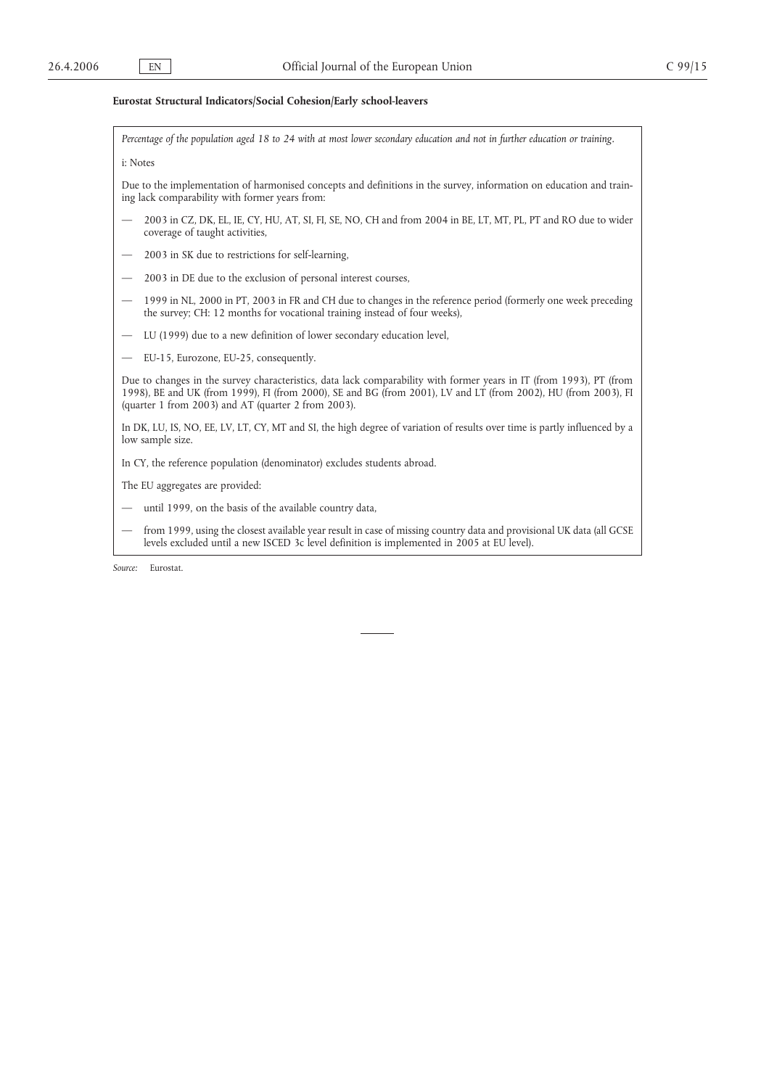#### **Eurostat Structural Indicators/Social Cohesion/Early school-leavers**

*Percentage of the population aged 18 to 24 with at most lower secondary education and not in further education or training.*

#### i: Notes

Due to the implementation of harmonised concepts and definitions in the survey, information on education and training lack comparability with former years from:

- 2003 in CZ, DK, EL, IE, CY, HU, AT, SI, FI, SE, NO, CH and from 2004 in BE, LT, MT, PL, PT and RO due to wider coverage of taught activities,
- 2003 in SK due to restrictions for self-learning,
- 2003 in DE due to the exclusion of personal interest courses,
- 1999 in NL, 2000 in PT, 2003 in FR and CH due to changes in the reference period (formerly one week preceding the survey; CH: 12 months for vocational training instead of four weeks),
- LU (1999) due to a new definition of lower secondary education level,
- EU-15, Eurozone, EU-25, consequently.

Due to changes in the survey characteristics, data lack comparability with former years in IT (from 1993), PT (from 1998), BE and UK (from 1999), FI (from 2000), SE and BG (from 2001), LV and LT (from 2002), HU (from 2003), FI (quarter 1 from 2003) and AT (quarter 2 from 2003).

In DK, LU, IS, NO, EE, LV, LT, CY, MT and SI, the high degree of variation of results over time is partly influenced by a low sample size.

In CY, the reference population (denominator) excludes students abroad.

- The EU aggregates are provided:
- until 1999, on the basis of the available country data,
- from 1999, using the closest available year result in case of missing country data and provisional UK data (all GCSE levels excluded until a new ISCED 3c level definition is implemented in 2005 at EU level).

*Source:* Eurostat.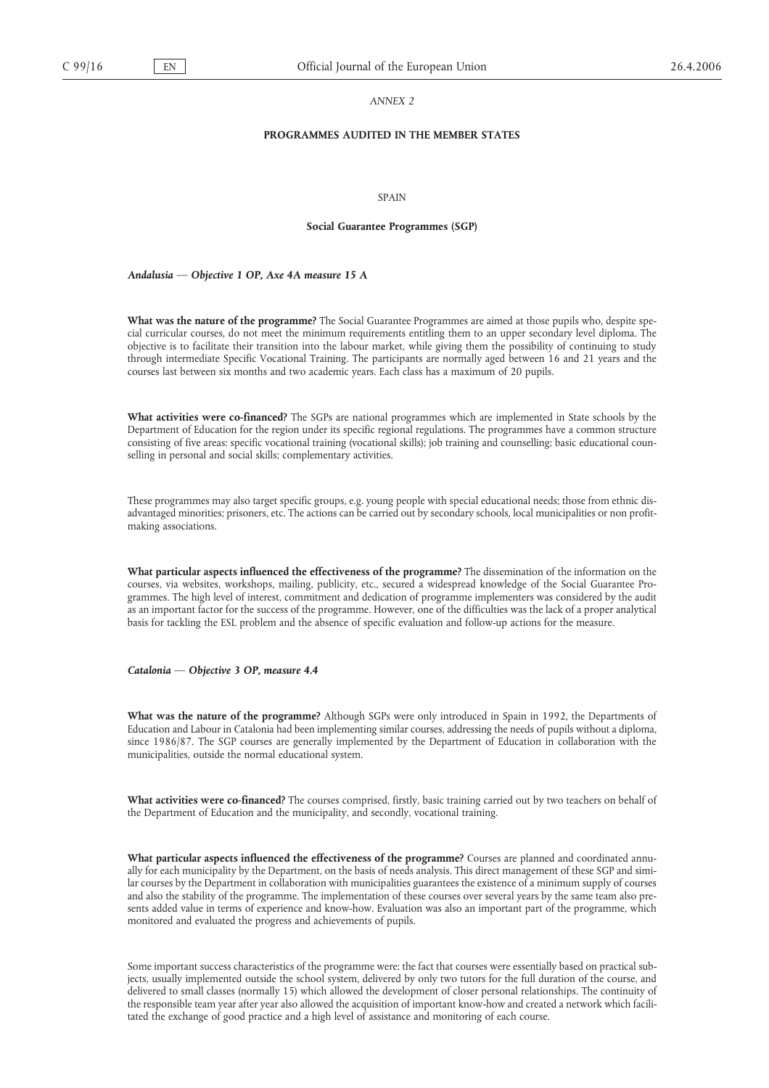#### *ANNEX 2*

## **PROGRAMMES AUDITED IN THE MEMBER STATES**

#### **SPAIN**

#### **Social Guarantee Programmes (SGP)**

#### *Andalusia — Objective 1 OP, Axe 4A measure 15 A*

**What was the nature of the programme?** The Social Guarantee Programmes are aimed at those pupils who, despite special curricular courses, do not meet the minimum requirements entitling them to an upper secondary level diploma. The objective is to facilitate their transition into the labour market, while giving them the possibility of continuing to study through intermediate Specific Vocational Training. The participants are normally aged between 16 and 21 years and the courses last between six months and two academic years. Each class has a maximum of 20 pupils.

**What activities were co-financed?** The SGPs are national programmes which are implemented in State schools by the Department of Education for the region under its specific regional regulations. The programmes have a common structure consisting of five areas: specific vocational training (vocational skills); job training and counselling; basic educational counselling in personal and social skills; complementary activities.

These programmes may also target specific groups, e.g. young people with special educational needs; those from ethnic disadvantaged minorities; prisoners, etc. The actions can be carried out by secondary schools, local municipalities or non profitmaking associations.

**What particular aspects influenced the effectiveness of the programme?** The dissemination of the information on the courses, via websites, workshops, mailing, publicity, etc., secured a widespread knowledge of the Social Guarantee Programmes. The high level of interest, commitment and dedication of programme implementers was considered by the audit as an important factor for the success of the programme. However, one of the difficulties was the lack of a proper analytical basis for tackling the ESL problem and the absence of specific evaluation and follow-up actions for the measure.

*Catalonia — Objective 3 OP, measure 4.4*

**What was the nature of the programme?** Although SGPs were only introduced in Spain in 1992, the Departments of Education and Labour in Catalonia had been implementing similar courses, addressing the needs of pupils without a diploma, since 1986/87. The SGP courses are generally implemented by the Department of Education in collaboration with the municipalities, outside the normal educational system.

**What activities were co-financed?** The courses comprised, firstly, basic training carried out by two teachers on behalf of the Department of Education and the municipality, and secondly, vocational training.

**What particular aspects influenced the effectiveness of the programme?** Courses are planned and coordinated annually for each municipality by the Department, on the basis of needs analysis. This direct management of these SGP and similar courses by the Department in collaboration with municipalities guarantees the existence of a minimum supply of courses and also the stability of the programme. The implementation of these courses over several years by the same team also presents added value in terms of experience and know-how. Evaluation was also an important part of the programme, which monitored and evaluated the progress and achievements of pupils.

Some important success characteristics of the programme were: the fact that courses were essentially based on practical subjects, usually implemented outside the school system, delivered by only two tutors for the full duration of the course, and delivered to small classes (normally 15) which allowed the development of closer personal relationships. The continuity of the responsible team year after year also allowed the acquisition of important know-how and created a network which facilitated the exchange of good practice and a high level of assistance and monitoring of each course.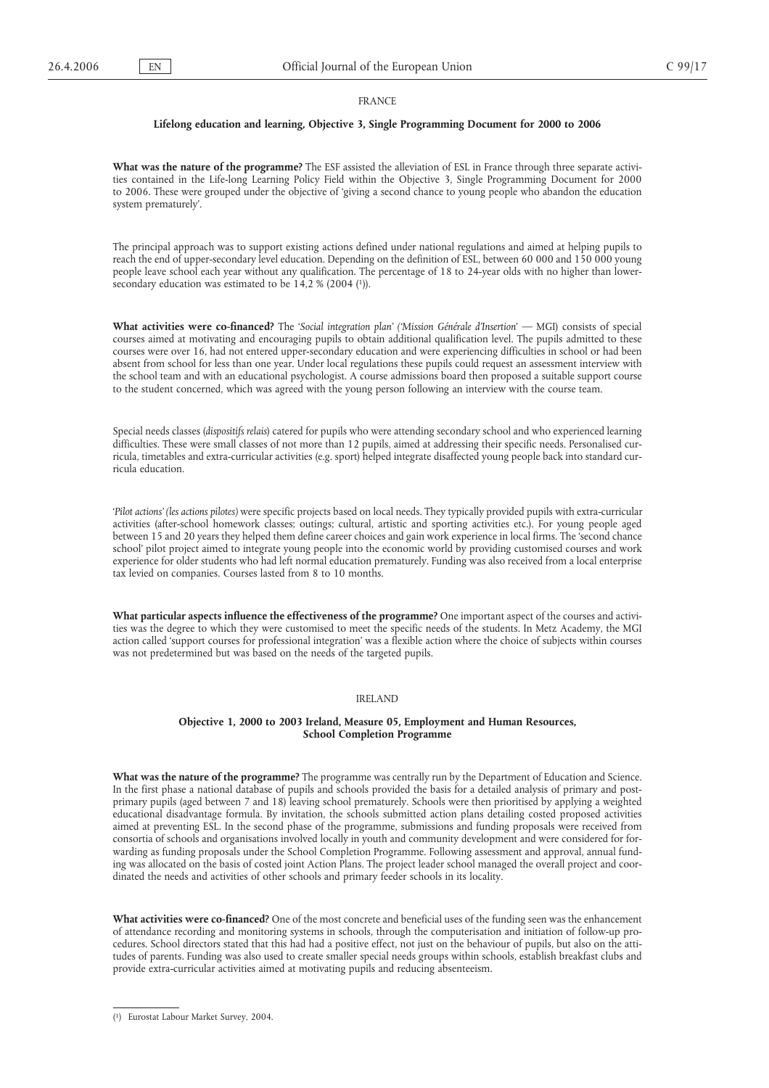#### FRANCE

#### **Lifelong education and learning, Objective 3, Single Programming Document for 2000 to 2006**

**What was the nature of the programme?** The ESF assisted the alleviation of ESL in France through three separate activities contained in the Life-long Learning Policy Field within the Objective 3, Single Programming Document for 2000 to 2006. These were grouped under the objective of 'giving a second chance to young people who abandon the education system prematurely'.

The principal approach was to support existing actions defined under national regulations and aimed at helping pupils to reach the end of upper-secondary level education. Depending on the definition of ESL, between 60 000 and 150 000 young people leave school each year without any qualification. The percentage of 18 to 24-year olds with no higher than lowersecondary education was estimated to be  $14,2 % (2004 (1)).$ 

**What activities were co-financed?** The '*Social integration plan' ('Mission Générale d'Insertion*' — MGI) consists of special courses aimed at motivating and encouraging pupils to obtain additional qualification level. The pupils admitted to these courses were over 16, had not entered upper-secondary education and were experiencing difficulties in school or had been absent from school for less than one year. Under local regulations these pupils could request an assessment interview with the school team and with an educational psychologist. A course admissions board then proposed a suitable support course to the student concerned, which was agreed with the young person following an interview with the course team.

Special needs classes (*dispositifs relais*) catered for pupils who were attending secondary school and who experienced learning difficulties. These were small classes of not more than 12 pupils, aimed at addressing their specific needs. Personalised curricula, timetables and extra-curricular activities (e.g. sport) helped integrate disaffected young people back into standard curricula education.

'*Pilot actions' (les actions pilotes)* were specific projects based on local needs. They typically provided pupils with extra-curricular activities (after-school homework classes; outings; cultural, artistic and sporting activities etc.). For young people aged between 15 and 20 years they helped them define career choices and gain work experience in local firms. The 'second chance school' pilot project aimed to integrate young people into the economic world by providing customised courses and work experience for older students who had left normal education prematurely. Funding was also received from a local enterprise tax levied on companies. Courses lasted from 8 to 10 months.

**What particular aspects influence the effectiveness of the programme?** One important aspect of the courses and activities was the degree to which they were customised to meet the specific needs of the students. In Metz Academy, the MGI action called 'support courses for professional integration' was a flexible action where the choice of subjects within courses was not predetermined but was based on the needs of the targeted pupils.

#### IRELAND

#### **Objective 1, 2000 to 2003 Ireland, Measure 05, Employment and Human Resources, School Completion Programme**

**What was the nature of the programme?** The programme was centrally run by the Department of Education and Science. In the first phase a national database of pupils and schools provided the basis for a detailed analysis of primary and postprimary pupils (aged between 7 and 18) leaving school prematurely. Schools were then prioritised by applying a weighted educational disadvantage formula. By invitation, the schools submitted action plans detailing costed proposed activities aimed at preventing ESL. In the second phase of the programme, submissions and funding proposals were received from consortia of schools and organisations involved locally in youth and community development and were considered for forwarding as funding proposals under the School Completion Programme. Following assessment and approval, annual funding was allocated on the basis of costed joint Action Plans. The project leader school managed the overall project and coordinated the needs and activities of other schools and primary feeder schools in its locality.

**What activities were co-financed?** One of the most concrete and beneficial uses of the funding seen was the enhancement of attendance recording and monitoring systems in schools, through the computerisation and initiation of follow-up procedures. School directors stated that this had had a positive effect, not just on the behaviour of pupils, but also on the attitudes of parents. Funding was also used to create smaller special needs groups within schools, establish breakfast clubs and provide extra-curricular activities aimed at motivating pupils and reducing absenteeism.

<sup>(</sup> 1) Eurostat Labour Market Survey, 2004.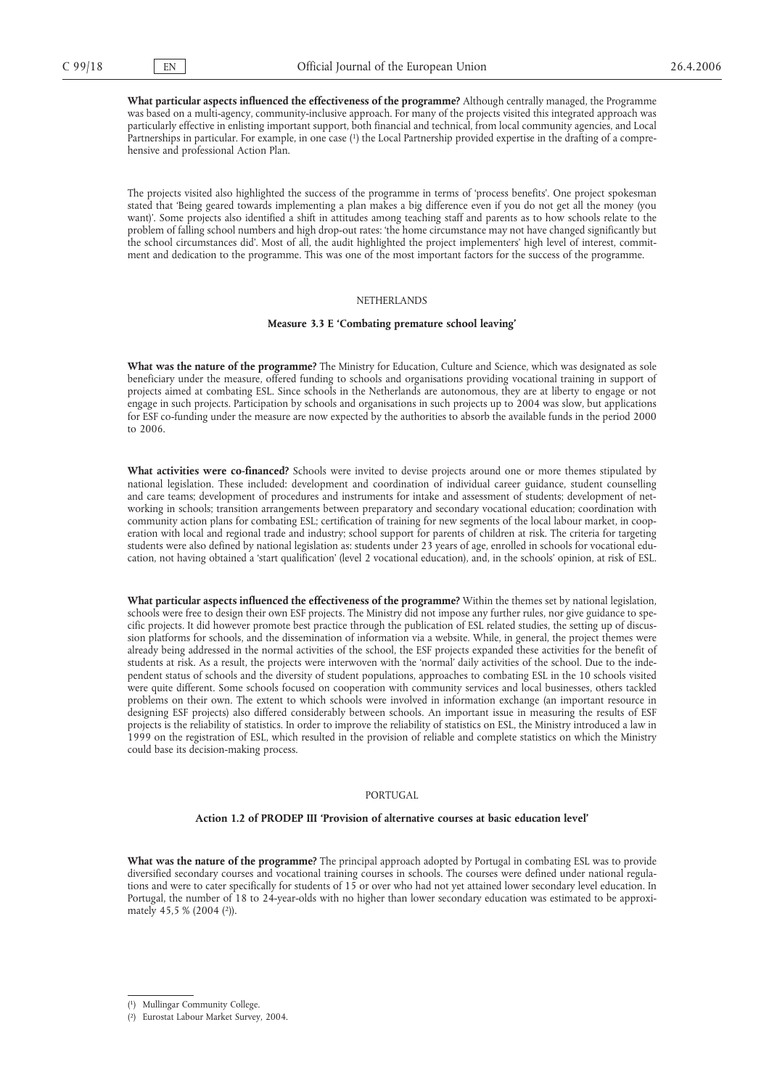**What particular aspects influenced the effectiveness of the programme?** Although centrally managed, the Programme was based on a multi-agency, community-inclusive approach. For many of the projects visited this integrated approach was particularly effective in enlisting important support, both financial and technical, from local community agencies, and Local Partnerships in particular. For example, in one case (<sup>1</sup>) the Local Partnership provided expertise in the drafting of a comprehensive and professional Action Plan.

The projects visited also highlighted the success of the programme in terms of 'process benefits'. One project spokesman stated that 'Being geared towards implementing a plan makes a big difference even if you do not get all the money (you want)'. Some projects also identified a shift in attitudes among teaching staff and parents as to how schools relate to the problem of falling school numbers and high drop-out rates: 'the home circumstance may not have changed significantly but the school circumstances did'. Most of all, the audit highlighted the project implementers' high level of interest, commitment and dedication to the programme. This was one of the most important factors for the success of the programme.

#### **NETHERLANDS**

#### **Measure 3.3 E 'Combating premature school leaving'**

**What was the nature of the programme?** The Ministry for Education, Culture and Science, which was designated as sole beneficiary under the measure, offered funding to schools and organisations providing vocational training in support of projects aimed at combating ESL. Since schools in the Netherlands are autonomous, they are at liberty to engage or not engage in such projects. Participation by schools and organisations in such projects up to 2004 was slow, but applications for ESF co-funding under the measure are now expected by the authorities to absorb the available funds in the period 2000 to 2006.

**What activities were co-financed?** Schools were invited to devise projects around one or more themes stipulated by national legislation. These included: development and coordination of individual career guidance, student counselling and care teams; development of procedures and instruments for intake and assessment of students; development of networking in schools; transition arrangements between preparatory and secondary vocational education; coordination with community action plans for combating ESL; certification of training for new segments of the local labour market, in cooperation with local and regional trade and industry; school support for parents of children at risk. The criteria for targeting students were also defined by national legislation as: students under 23 years of age, enrolled in schools for vocational education, not having obtained a 'start qualification' (level 2 vocational education), and, in the schools' opinion, at risk of ESL.

**What particular aspects influenced the effectiveness of the programme?** Within the themes set by national legislation, schools were free to design their own ESF projects. The Ministry did not impose any further rules, nor give guidance to specific projects. It did however promote best practice through the publication of ESL related studies, the setting up of discussion platforms for schools, and the dissemination of information via a website. While, in general, the project themes were already being addressed in the normal activities of the school, the ESF projects expanded these activities for the benefit of students at risk. As a result, the projects were interwoven with the 'normal' daily activities of the school. Due to the independent status of schools and the diversity of student populations, approaches to combating ESL in the 10 schools visited were quite different. Some schools focused on cooperation with community services and local businesses, others tackled problems on their own. The extent to which schools were involved in information exchange (an important resource in designing ESF projects) also differed considerably between schools. An important issue in measuring the results of ESF projects is the reliability of statistics. In order to improve the reliability of statistics on ESL, the Ministry introduced a law in 1999 on the registration of ESL, which resulted in the provision of reliable and complete statistics on which the Ministry could base its decision-making process.

#### PORTUGAL

#### **Action 1.2 of PRODEP III 'Provision of alternative courses at basic education level'**

**What was the nature of the programme?** The principal approach adopted by Portugal in combating ESL was to provide diversified secondary courses and vocational training courses in schools. The courses were defined under national regulations and were to cater specifically for students of 15 or over who had not yet attained lower secondary level education. In Portugal, the number of 18 to 24-year-olds with no higher than lower secondary education was estimated to be approximately 45,5 % (2004 (2)).

<sup>(</sup> 1) Mullingar Community College.

<sup>(</sup> 2) Eurostat Labour Market Survey, 2004.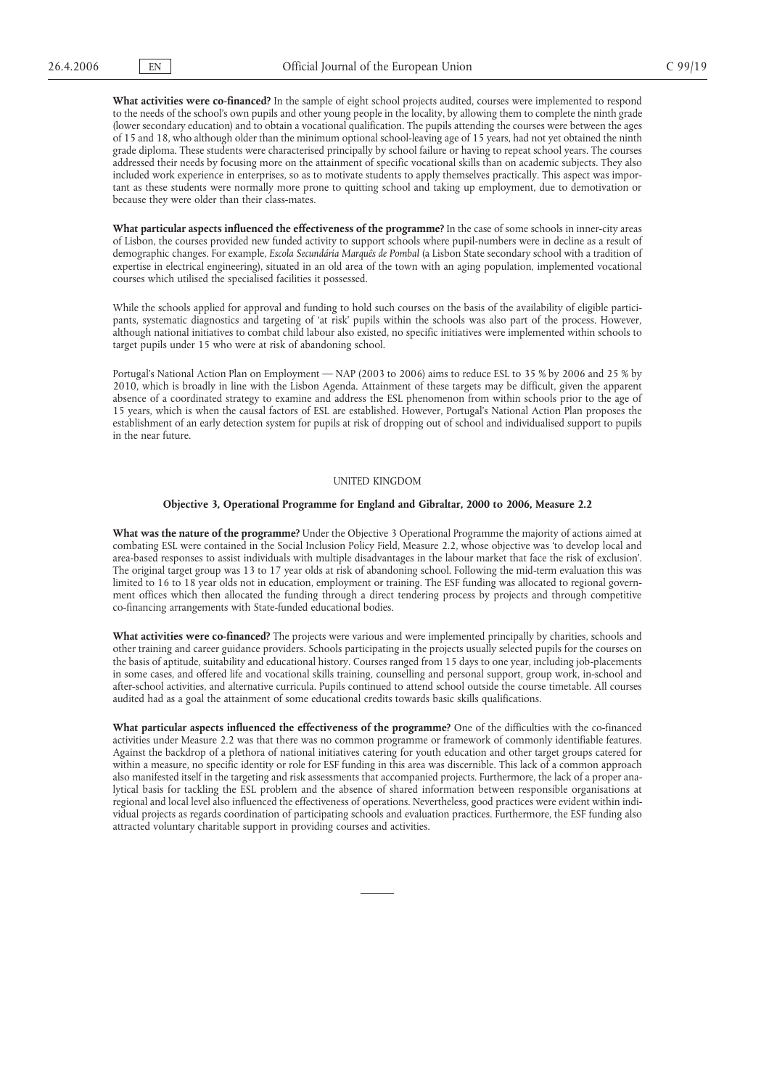**What activities were co-financed?** In the sample of eight school projects audited, courses were implemented to respond to the needs of the school's own pupils and other young people in the locality, by allowing them to complete the ninth grade (lower secondary education) and to obtain a vocational qualification. The pupils attending the courses were between the ages of 15 and 18, who although older than the minimum optional school-leaving age of 15 years, had not yet obtained the ninth grade diploma. These students were characterised principally by school failure or having to repeat school years. The courses addressed their needs by focusing more on the attainment of specific vocational skills than on academic subjects. They also included work experience in enterprises, so as to motivate students to apply themselves practically. This aspect was important as these students were normally more prone to quitting school and taking up employment, due to demotivation or because they were older than their class-mates.

**What particular aspects influenced the effectiveness of the programme?** In the case of some schools in inner-city areas of Lisbon, the courses provided new funded activity to support schools where pupil-numbers were in decline as a result of demographic changes. For example, *Escola Secundária Marquês de Pombal* (a Lisbon State secondary school with a tradition of expertise in electrical engineering), situated in an old area of the town with an aging population, implemented vocational courses which utilised the specialised facilities it possessed.

While the schools applied for approval and funding to hold such courses on the basis of the availability of eligible participants, systematic diagnostics and targeting of 'at risk' pupils within the schools was also part of the process. However, although national initiatives to combat child labour also existed, no specific initiatives were implemented within schools to target pupils under 15 who were at risk of abandoning school.

Portugal's National Action Plan on Employment — NAP (2003 to 2006) aims to reduce ESL to 35 % by 2006 and 25 % by 2010, which is broadly in line with the Lisbon Agenda. Attainment of these targets may be difficult, given the apparent absence of a coordinated strategy to examine and address the ESL phenomenon from within schools prior to the age of 15 years, which is when the causal factors of ESL are established. However, Portugal's National Action Plan proposes the establishment of an early detection system for pupils at risk of dropping out of school and individualised support to pupils in the near future.

#### UNITED KINGDOM

#### **Objective 3, Operational Programme for England and Gibraltar, 2000 to 2006, Measure 2.2**

**What was the nature of the programme?** Under the Objective 3 Operational Programme the majority of actions aimed at combating ESL were contained in the Social Inclusion Policy Field, Measure 2.2, whose objective was 'to develop local and area-based responses to assist individuals with multiple disadvantages in the labour market that face the risk of exclusion'. The original target group was 13 to 17 year olds at risk of abandoning school. Following the mid-term evaluation this was limited to 16 to 18 year olds not in education, employment or training. The ESF funding was allocated to regional government offices which then allocated the funding through a direct tendering process by projects and through competitive co-financing arrangements with State-funded educational bodies.

**What activities were co-financed?** The projects were various and were implemented principally by charities, schools and other training and career guidance providers. Schools participating in the projects usually selected pupils for the courses on the basis of aptitude, suitability and educational history. Courses ranged from 15 days to one year, including job-placements in some cases, and offered life and vocational skills training, counselling and personal support, group work, in-school and after-school activities, and alternative curricula. Pupils continued to attend school outside the course timetable. All courses audited had as a goal the attainment of some educational credits towards basic skills qualifications.

**What particular aspects influenced the effectiveness of the programme?** One of the difficulties with the co-financed activities under Measure 2.2 was that there was no common programme or framework of commonly identifiable features. Against the backdrop of a plethora of national initiatives catering for youth education and other target groups catered for within a measure, no specific identity or role for ESF funding in this area was discernible. This lack of a common approach also manifested itself in the targeting and risk assessments that accompanied projects. Furthermore, the lack of a proper analytical basis for tackling the ESL problem and the absence of shared information between responsible organisations at regional and local level also influenced the effectiveness of operations. Nevertheless, good practices were evident within individual projects as regards coordination of participating schools and evaluation practices. Furthermore, the ESF funding also attracted voluntary charitable support in providing courses and activities.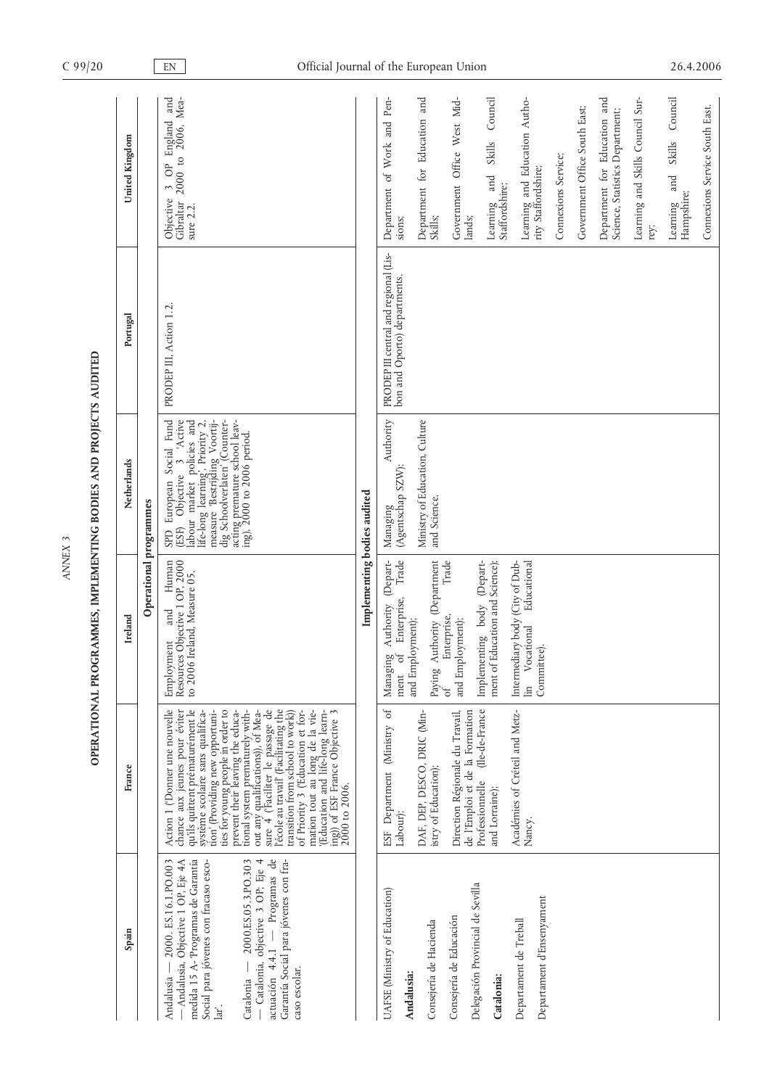|                                                                                                                                                                                                                                                                        | OPERATIONAL PROGRAMMES, IMPLEMENTING BODIES AND PROJECTS AUDITED                                                                                                                                                                                                                                                                                                                                                                                                                                                                                                                                           |                                                                                                   |                                                                                                                                                                                                                                                                          |                                                                       |                                                                                                |  |
|------------------------------------------------------------------------------------------------------------------------------------------------------------------------------------------------------------------------------------------------------------------------|------------------------------------------------------------------------------------------------------------------------------------------------------------------------------------------------------------------------------------------------------------------------------------------------------------------------------------------------------------------------------------------------------------------------------------------------------------------------------------------------------------------------------------------------------------------------------------------------------------|---------------------------------------------------------------------------------------------------|--------------------------------------------------------------------------------------------------------------------------------------------------------------------------------------------------------------------------------------------------------------------------|-----------------------------------------------------------------------|------------------------------------------------------------------------------------------------|--|
|                                                                                                                                                                                                                                                                        | France                                                                                                                                                                                                                                                                                                                                                                                                                                                                                                                                                                                                     | Ireland                                                                                           | Netherlands                                                                                                                                                                                                                                                              | Portugal                                                              | United Kingdom                                                                                 |  |
|                                                                                                                                                                                                                                                                        |                                                                                                                                                                                                                                                                                                                                                                                                                                                                                                                                                                                                            | Operational programmes                                                                            |                                                                                                                                                                                                                                                                          |                                                                       |                                                                                                |  |
| - Programas de<br>Garantía Social para jóvenes con fra-<br>medida 15 A- 'Programas de Garantía<br>Social para jóvenes con fracaso esco-<br>2000. ES.16.1.PO.003<br>- Andalusia, Objective 1 OP, Eje 4A<br>$-2000.ES.05.3.PO.303$<br>- Catalonia, objective 3 OP; Eje 4 | Action 1 ('Donner une nouvelle<br>chance aux jeunes pour éviter<br>qu'ils quittent prématurément le<br>sure $4$ (Faciliter le passage de<br>l'école au travail (Facilitating the<br>tion' (Providing new opportuni-<br>ties for young people in order to<br>prevent their leaving the educa-<br>tional system prematurely with-<br>of Priority 3 ('Education et for-<br>mation tout au long de la vie-<br>'(Education and life-long learn-<br>ing)) of ESF France Objective 3<br>système scolaire sans qualifica-<br>transition from school to work)<br>out any qualifications)), of Mea-<br>2000 to 2006. | Employment and Human<br>Resources Objective 1 OP, 2000<br>to 2006 Ireland, Measure 05.            | ife-long learning, Priority 2,<br>SPD European Social Fund<br>'Active<br>measure 'Bestrijding Voortij-<br>dig Schoolverlaten' (Counter-<br>acting premature school leav-<br>ing), 2000 to 2006 period.<br>abour market policies and<br>$\tilde{3}$<br>Objective<br>(ESF) | PRODEP III, Action 1.2.                                               | and<br>2000 to 2006, Mea-<br>OP England<br>$\tilde{3}$<br>Objective<br>Gibraltar<br>sure $2.2$ |  |
|                                                                                                                                                                                                                                                                        |                                                                                                                                                                                                                                                                                                                                                                                                                                                                                                                                                                                                            | Implementing bodies audited                                                                       |                                                                                                                                                                                                                                                                          |                                                                       |                                                                                                |  |
| JAFSE (Ministry of Education)                                                                                                                                                                                                                                          | ESF Department (Ministry of<br>Labour);                                                                                                                                                                                                                                                                                                                                                                                                                                                                                                                                                                    | Trade<br>(Depart-<br>Enterprise,<br>Authority<br>and Employment);<br>Managing<br>$\sigma$<br>ment | Authority<br>(Agentschap SZW):<br>Managing                                                                                                                                                                                                                               | PRODEP III central and regional (Lis-<br>bon and Oporto) departments. | Department of Work and Pen-<br>sions;                                                          |  |
|                                                                                                                                                                                                                                                                        | DAF, DEP, DESCO, DRIC (Min-<br>istry of Education);                                                                                                                                                                                                                                                                                                                                                                                                                                                                                                                                                        | Paying Authority (Department                                                                      | Ministry of Education, Culture<br>and Science.                                                                                                                                                                                                                           |                                                                       | Department for Education and<br>Skills;                                                        |  |
|                                                                                                                                                                                                                                                                        | Direction Régionale du Travail,<br>de l'Emploi et de la Formation                                                                                                                                                                                                                                                                                                                                                                                                                                                                                                                                          | Trade<br>Enterprise,<br>and Employment);<br>$\beta$                                               |                                                                                                                                                                                                                                                                          |                                                                       | Government Office West Mid-<br>lands;                                                          |  |
| Delegación Provincial de Sevilla                                                                                                                                                                                                                                       | (Ile-de-France<br>Professionnelle<br>and Lorraine);                                                                                                                                                                                                                                                                                                                                                                                                                                                                                                                                                        | (Depart-<br>ment of Education and Science);<br>body<br>Implementary                               |                                                                                                                                                                                                                                                                          |                                                                       | Council<br>Skills<br>and<br>Staffordshire;<br>Learning                                         |  |
|                                                                                                                                                                                                                                                                        | Académies of Créteil and Metz-<br>Nancy.                                                                                                                                                                                                                                                                                                                                                                                                                                                                                                                                                                   | Intermediary body (City of Dub-<br>Educational<br>lin Vocational<br>Committee).                   |                                                                                                                                                                                                                                                                          |                                                                       | Learning and Education Autho-<br>rity Staffordshire;                                           |  |
|                                                                                                                                                                                                                                                                        |                                                                                                                                                                                                                                                                                                                                                                                                                                                                                                                                                                                                            |                                                                                                   |                                                                                                                                                                                                                                                                          |                                                                       | Connexions Service;                                                                            |  |
|                                                                                                                                                                                                                                                                        |                                                                                                                                                                                                                                                                                                                                                                                                                                                                                                                                                                                                            |                                                                                                   |                                                                                                                                                                                                                                                                          |                                                                       | Government Office South East;                                                                  |  |
|                                                                                                                                                                                                                                                                        |                                                                                                                                                                                                                                                                                                                                                                                                                                                                                                                                                                                                            |                                                                                                   |                                                                                                                                                                                                                                                                          |                                                                       | Department for Education and<br>Science, Statistics Department;                                |  |
|                                                                                                                                                                                                                                                                        |                                                                                                                                                                                                                                                                                                                                                                                                                                                                                                                                                                                                            |                                                                                                   |                                                                                                                                                                                                                                                                          |                                                                       | Learning and Skills Council Sur-<br>rey;                                                       |  |
|                                                                                                                                                                                                                                                                        |                                                                                                                                                                                                                                                                                                                                                                                                                                                                                                                                                                                                            |                                                                                                   |                                                                                                                                                                                                                                                                          |                                                                       | Council<br>Skills<br>and<br>Hampshire;<br>Learning                                             |  |
|                                                                                                                                                                                                                                                                        |                                                                                                                                                                                                                                                                                                                                                                                                                                                                                                                                                                                                            |                                                                                                   |                                                                                                                                                                                                                                                                          |                                                                       | Connexions Service South East.                                                                 |  |

*ANNEX 3*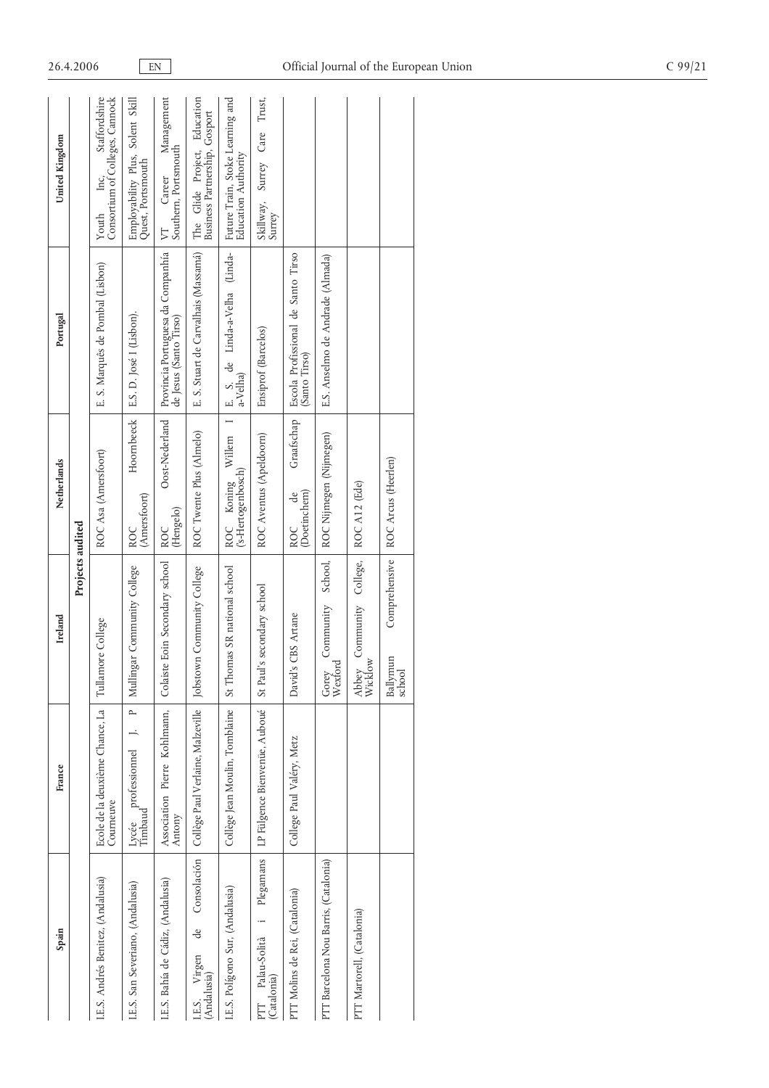| Spain                                        | France                                             | Ireland                                  | Netherlands                             | Portugal                                                    | United Kingdom                                                    |
|----------------------------------------------|----------------------------------------------------|------------------------------------------|-----------------------------------------|-------------------------------------------------------------|-------------------------------------------------------------------|
|                                              |                                                    | Projects audited                         |                                         |                                                             |                                                                   |
| I.E.S. Andrés Benitez, (Andalusia)           | Ecole de la deuxième Chance, La<br>Courneuve       | Tullamore College                        | ROC Asa (Amersfoort)                    | E. S. Marquês de Pombal (Lisbon)                            | Consortium of Colleges, Cannock<br>Staffordshire<br>Inc,<br>Youth |
| I.E.S. San Severiano, (Andalusia)            | $\sim$<br>Lycée professionnel<br>Timbaud           | Mullingar Community College              | Hoornbeeck<br>(Amersfoort)<br>ROC       | E.S. D. José I (Lisbon).                                    | Employability Plus, Solent Skill<br>Quest, Portsmouth             |
| I.E.S. Bahía de Cádiz, (Andalusia)           | Association Pierre Kohlmann,<br>Antony             | Colaiste Eoin Secondary school           | Oost-Nederland<br>(Hengelo)<br>ROC      | Provincia Portuguesa da Companhía<br>de Jesus (Santo Tirso) | Management<br>Southern, Portsmouth<br>Career<br>$\triangleright$  |
| I.E.S. Virgen<br>(Andalusia)                 | de Consolación   Collège Paul Verlaine, Malzeville | Jobstown Community College               | ROC Twente Plus (Almelo)                | E. S. Stuart de Carvalhais (Massamá)                        | The Glide Project, Education<br>Business Partnership, Gosport     |
| I.E.S. Polígono Sur, (Andalusia)             | Collège Jean Moulin, Tomblaine                     | St Thomas SR national school             | ROC Koning Willem<br>('s-Hertogenbosch) | E. S. de Linda-a-Velha (Linda-<br>a-Velha)                  | Future Train, Stoke Learning and<br>Education Authority           |
| Plegamans<br>PTT Palau-Solità<br>(Catalonia) | LP Fülgence Bienvenüe, Auboué                      | St Paul's secondary school               | ROC Aventus (Apeldoorn)                 | Ensiprof (Barcelos)                                         | Trust,<br>Surrey Care<br>Skillway,<br>Surrey                      |
| PTT Molins de Rei, (Catalonia)               | College Paul Valéry, Metz                          | CBS Artane<br>David's                    | Graafschap<br>(Doetinchem)<br>de<br>ROC | Escola Profissional de Santo Tirso<br>(Santo Tirso)         |                                                                   |
| PTT Barcelona Nou Barris, (Catalonia)        |                                                    | School,<br>Community<br>Wexford<br>Gorey | ROC Nijmegen (Nijmegen)                 | E.S. Anselmo de Andrade (Almada)                            |                                                                   |
| PTT Martorell, (Catalonia)                   |                                                    | Community College,<br>Wicklow<br>Abbey   | ROC A12 (Ede)                           |                                                             |                                                                   |
|                                              |                                                    | Comprehensive<br>Ballymun<br>school      | ROC Arcus (Heerlen)                     |                                                             |                                                                   |
|                                              |                                                    |                                          |                                         |                                                             |                                                                   |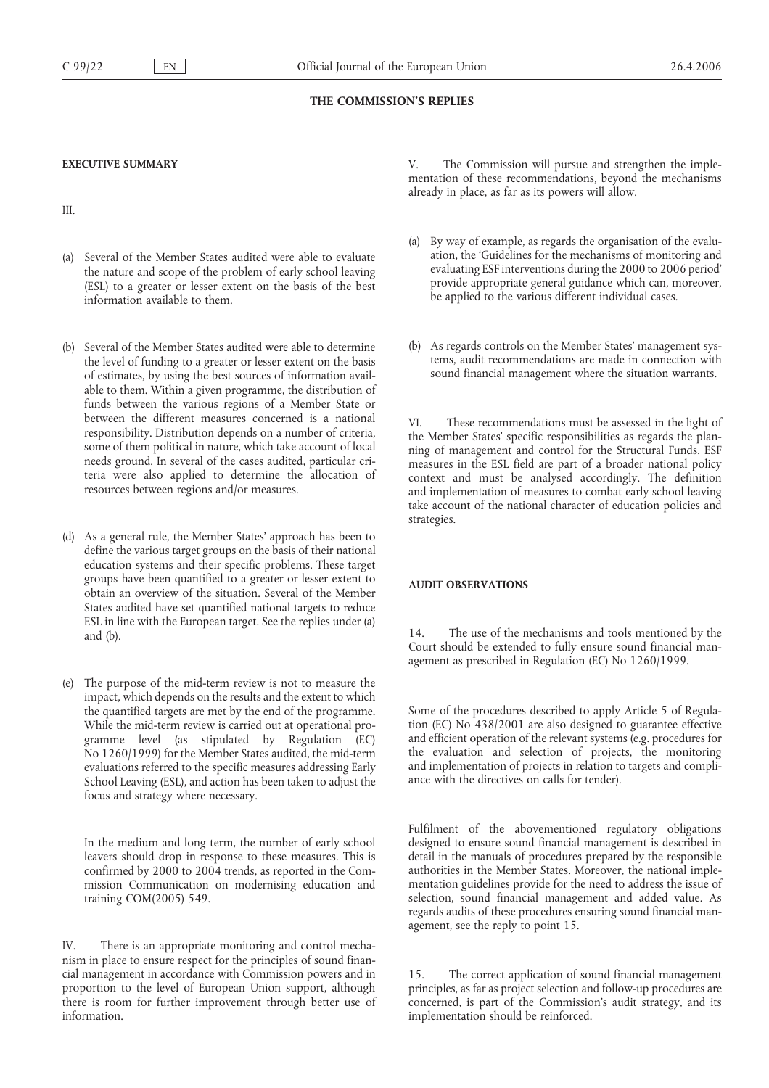## **THE COMMISSION'S REPLIES**

## **EXECUTIVE SUMMARY**

III.

- (a) Several of the Member States audited were able to evaluate the nature and scope of the problem of early school leaving (ESL) to a greater or lesser extent on the basis of the best information available to them.
- (b) Several of the Member States audited were able to determine the level of funding to a greater or lesser extent on the basis of estimates, by using the best sources of information available to them. Within a given programme, the distribution of funds between the various regions of a Member State or between the different measures concerned is a national responsibility. Distribution depends on a number of criteria, some of them political in nature, which take account of local needs ground. In several of the cases audited, particular criteria were also applied to determine the allocation of resources between regions and/or measures.
- (d) As a general rule, the Member States' approach has been to define the various target groups on the basis of their national education systems and their specific problems. These target groups have been quantified to a greater or lesser extent to obtain an overview of the situation. Several of the Member States audited have set quantified national targets to reduce ESL in line with the European target. See the replies under (a) and (b).
- (e) The purpose of the mid-term review is not to measure the impact, which depends on the results and the extent to which the quantified targets are met by the end of the programme. While the mid-term review is carried out at operational programme level (as stipulated by Regulation (EC) No 1260/1999) for the Member States audited, the mid-term evaluations referred to the specific measures addressing Early School Leaving (ESL), and action has been taken to adjust the focus and strategy where necessary.

In the medium and long term, the number of early school leavers should drop in response to these measures. This is confirmed by 2000 to 2004 trends, as reported in the Commission Communication on modernising education and training COM(2005) 549.

IV. There is an appropriate monitoring and control mechanism in place to ensure respect for the principles of sound financial management in accordance with Commission powers and in proportion to the level of European Union support, although there is room for further improvement through better use of information.

The Commission will pursue and strengthen the implementation of these recommendations, beyond the mechanisms already in place, as far as its powers will allow.

- (a) By way of example, as regards the organisation of the evaluation, the 'Guidelines for the mechanisms of monitoring and evaluating ESF interventions during the 2000 to 2006 period' provide appropriate general guidance which can, moreover, be applied to the various different individual cases.
- (b) As regards controls on the Member States' management systems, audit recommendations are made in connection with sound financial management where the situation warrants.

VI. These recommendations must be assessed in the light of the Member States' specific responsibilities as regards the planning of management and control for the Structural Funds. ESF measures in the ESL field are part of a broader national policy context and must be analysed accordingly. The definition and implementation of measures to combat early school leaving take account of the national character of education policies and strategies.

## **AUDIT OBSERVATIONS**

14. The use of the mechanisms and tools mentioned by the Court should be extended to fully ensure sound financial management as prescribed in Regulation (EC) No 1260/1999.

Some of the procedures described to apply Article 5 of Regulation (EC) No 438/2001 are also designed to guarantee effective and efficient operation of the relevant systems (e.g. procedures for the evaluation and selection of projects, the monitoring and implementation of projects in relation to targets and compliance with the directives on calls for tender).

Fulfilment of the abovementioned regulatory obligations designed to ensure sound financial management is described in detail in the manuals of procedures prepared by the responsible authorities in the Member States. Moreover, the national implementation guidelines provide for the need to address the issue of selection, sound financial management and added value. As regards audits of these procedures ensuring sound financial management, see the reply to point 15.

15. The correct application of sound financial management principles, as far as project selection and follow-up procedures are concerned, is part of the Commission's audit strategy, and its implementation should be reinforced.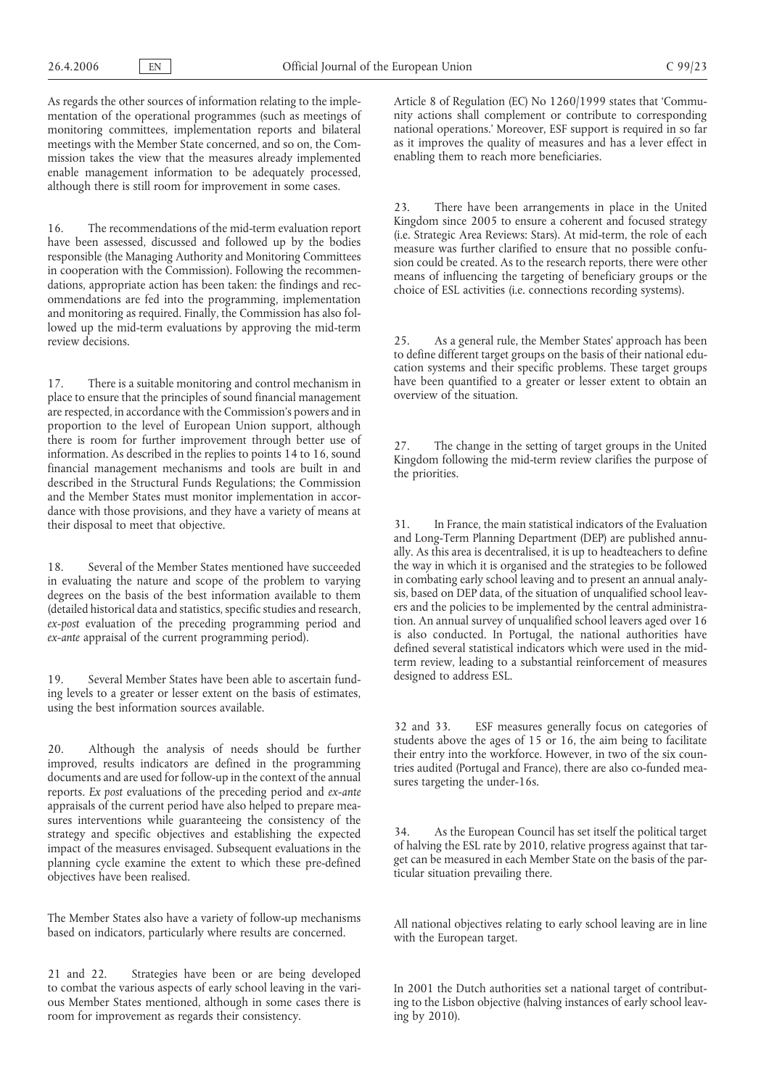As regards the other sources of information relating to the implementation of the operational programmes (such as meetings of monitoring committees, implementation reports and bilateral meetings with the Member State concerned, and so on, the Commission takes the view that the measures already implemented enable management information to be adequately processed, although there is still room for improvement in some cases.

16. The recommendations of the mid-term evaluation report have been assessed, discussed and followed up by the bodies responsible (the Managing Authority and Monitoring Committees in cooperation with the Commission). Following the recommendations, appropriate action has been taken: the findings and recommendations are fed into the programming, implementation and monitoring as required. Finally, the Commission has also followed up the mid-term evaluations by approving the mid-term review decisions.

17. There is a suitable monitoring and control mechanism in place to ensure that the principles of sound financial management are respected, in accordance with the Commission's powers and in proportion to the level of European Union support, although there is room for further improvement through better use of information. As described in the replies to points 14 to 16, sound financial management mechanisms and tools are built in and described in the Structural Funds Regulations; the Commission and the Member States must monitor implementation in accordance with those provisions, and they have a variety of means at their disposal to meet that objective.

18. Several of the Member States mentioned have succeeded in evaluating the nature and scope of the problem to varying degrees on the basis of the best information available to them (detailed historical data and statistics, specific studies and research, *ex-post* evaluation of the preceding programming period and *ex-ante* appraisal of the current programming period).

19. Several Member States have been able to ascertain funding levels to a greater or lesser extent on the basis of estimates, using the best information sources available.

20. Although the analysis of needs should be further improved, results indicators are defined in the programming documents and are used for follow-up in the context of the annual reports. *Ex post* evaluations of the preceding period and *ex-ante* appraisals of the current period have also helped to prepare measures interventions while guaranteeing the consistency of the strategy and specific objectives and establishing the expected impact of the measures envisaged. Subsequent evaluations in the planning cycle examine the extent to which these pre-defined objectives have been realised.

The Member States also have a variety of follow-up mechanisms based on indicators, particularly where results are concerned.

21 and 22. Strategies have been or are being developed to combat the various aspects of early school leaving in the various Member States mentioned, although in some cases there is room for improvement as regards their consistency.

Article 8 of Regulation (EC) No 1260/1999 states that 'Community actions shall complement or contribute to corresponding national operations.' Moreover, ESF support is required in so far as it improves the quality of measures and has a lever effect in enabling them to reach more beneficiaries.

23. There have been arrangements in place in the United Kingdom since 2005 to ensure a coherent and focused strategy (i.e. Strategic Area Reviews: Stars). At mid-term, the role of each measure was further clarified to ensure that no possible confusion could be created. As to the research reports, there were other means of influencing the targeting of beneficiary groups or the choice of ESL activities (i.e. connections recording systems).

25. As a general rule, the Member States' approach has been to define different target groups on the basis of their national education systems and their specific problems. These target groups have been quantified to a greater or lesser extent to obtain an overview of the situation.

27. The change in the setting of target groups in the United Kingdom following the mid-term review clarifies the purpose of the priorities.

31. In France, the main statistical indicators of the Evaluation and Long-Term Planning Department (DEP) are published annually. As this area is decentralised, it is up to headteachers to define the way in which it is organised and the strategies to be followed in combating early school leaving and to present an annual analysis, based on DEP data, of the situation of unqualified school leavers and the policies to be implemented by the central administration. An annual survey of unqualified school leavers aged over 16 is also conducted. In Portugal, the national authorities have defined several statistical indicators which were used in the midterm review, leading to a substantial reinforcement of measures designed to address ESL.

32 and 33. ESF measures generally focus on categories of students above the ages of 15 or 16, the aim being to facilitate their entry into the workforce. However, in two of the six countries audited (Portugal and France), there are also co-funded measures targeting the under-16s.

34. As the European Council has set itself the political target of halving the ESL rate by 2010, relative progress against that target can be measured in each Member State on the basis of the particular situation prevailing there.

All national objectives relating to early school leaving are in line with the European target.

In 2001 the Dutch authorities set a national target of contributing to the Lisbon objective (halving instances of early school leaving by 2010).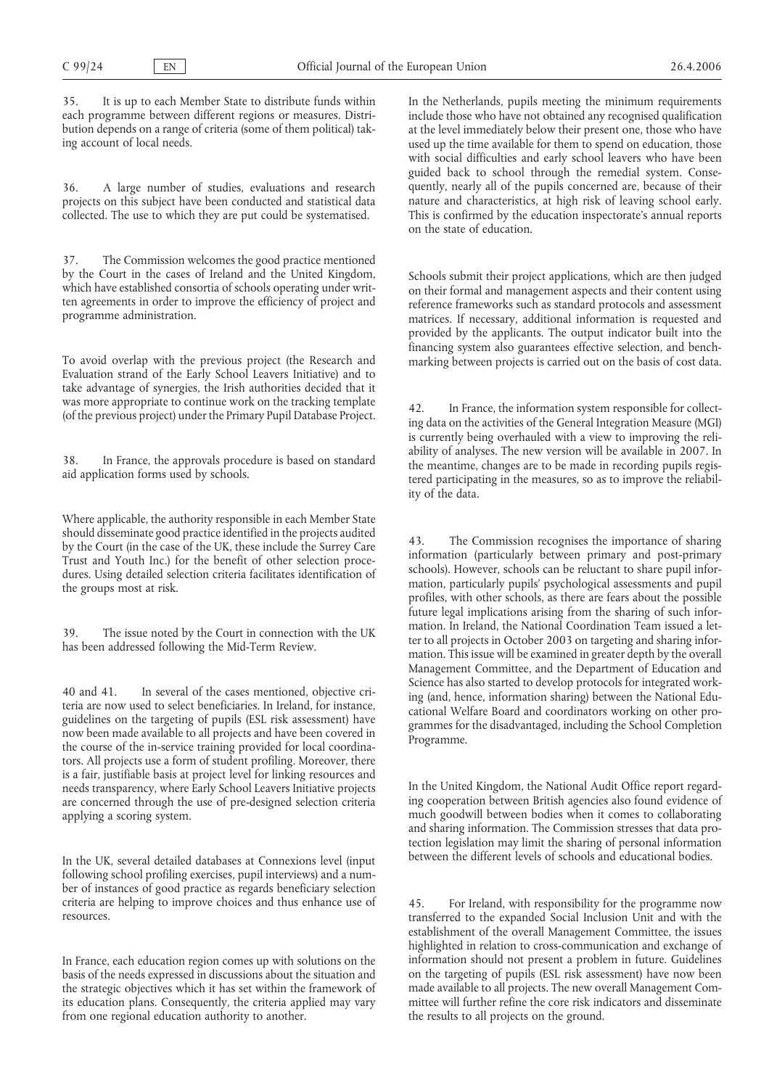35. It is up to each Member State to distribute funds within each programme between different regions or measures. Distribution depends on a range of criteria (some of them political) taking account of local needs.

36. A large number of studies, evaluations and research projects on this subject have been conducted and statistical data collected. The use to which they are put could be systematised.

37. The Commission welcomes the good practice mentioned by the Court in the cases of Ireland and the United Kingdom, which have established consortia of schools operating under written agreements in order to improve the efficiency of project and programme administration.

To avoid overlap with the previous project (the Research and Evaluation strand of the Early School Leavers Initiative) and to take advantage of synergies, the Irish authorities decided that it was more appropriate to continue work on the tracking template (of the previous project) under the Primary Pupil Database Project.

38. In France, the approvals procedure is based on standard aid application forms used by schools.

Where applicable, the authority responsible in each Member State should disseminate good practice identified in the projects audited by the Court (in the case of the UK, these include the Surrey Care Trust and Youth Inc.) for the benefit of other selection procedures. Using detailed selection criteria facilitates identification of the groups most at risk.

39. The issue noted by the Court in connection with the UK has been addressed following the Mid-Term Review.

40 and 41. In several of the cases mentioned, objective criteria are now used to select beneficiaries. In Ireland, for instance, guidelines on the targeting of pupils (ESL risk assessment) have now been made available to all projects and have been covered in the course of the in-service training provided for local coordinators. All projects use a form of student profiling. Moreover, there is a fair, justifiable basis at project level for linking resources and needs transparency, where Early School Leavers Initiative projects are concerned through the use of pre-designed selection criteria applying a scoring system.

In the UK, several detailed databases at Connexions level (input following school profiling exercises, pupil interviews) and a number of instances of good practice as regards beneficiary selection criteria are helping to improve choices and thus enhance use of resources.

In France, each education region comes up with solutions on the basis of the needs expressed in discussions about the situation and the strategic objectives which it has set within the framework of its education plans. Consequently, the criteria applied may vary from one regional education authority to another.

In the Netherlands, pupils meeting the minimum requirements include those who have not obtained any recognised qualification at the level immediately below their present one, those who have used up the time available for them to spend on education, those with social difficulties and early school leavers who have been guided back to school through the remedial system. Consequently, nearly all of the pupils concerned are, because of their nature and characteristics, at high risk of leaving school early. This is confirmed by the education inspectorate's annual reports on the state of education.

Schools submit their project applications, which are then judged on their formal and management aspects and their content using reference frameworks such as standard protocols and assessment matrices. If necessary, additional information is requested and provided by the applicants. The output indicator built into the financing system also guarantees effective selection, and benchmarking between projects is carried out on the basis of cost data.

42. In France, the information system responsible for collecting data on the activities of the General Integration Measure (MGI) is currently being overhauled with a view to improving the reliability of analyses. The new version will be available in 2007. In the meantime, changes are to be made in recording pupils registered participating in the measures, so as to improve the reliability of the data.

43. The Commission recognises the importance of sharing information (particularly between primary and post-primary schools). However, schools can be reluctant to share pupil information, particularly pupils' psychological assessments and pupil profiles, with other schools, as there are fears about the possible future legal implications arising from the sharing of such information. In Ireland, the National Coordination Team issued a letter to all projects in October 2003 on targeting and sharing information. This issue will be examined in greater depth by the overall Management Committee, and the Department of Education and Science has also started to develop protocols for integrated working (and, hence, information sharing) between the National Educational Welfare Board and coordinators working on other programmes for the disadvantaged, including the School Completion Programme.

In the United Kingdom, the National Audit Office report regarding cooperation between British agencies also found evidence of much goodwill between bodies when it comes to collaborating and sharing information. The Commission stresses that data protection legislation may limit the sharing of personal information between the different levels of schools and educational bodies.

45. For Ireland, with responsibility for the programme now transferred to the expanded Social Inclusion Unit and with the establishment of the overall Management Committee, the issues highlighted in relation to cross-communication and exchange of information should not present a problem in future. Guidelines on the targeting of pupils (ESL risk assessment) have now been made available to all projects. The new overall Management Committee will further refine the core risk indicators and disseminate the results to all projects on the ground.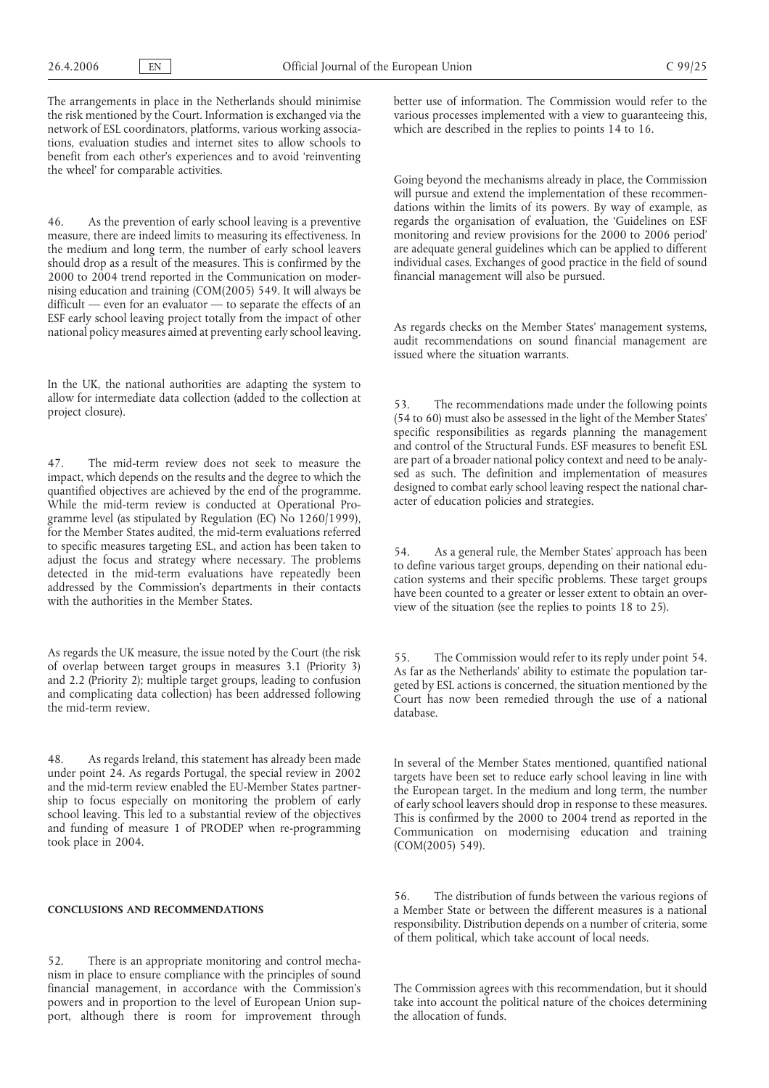The arrangements in place in the Netherlands should minimise the risk mentioned by the Court. Information is exchanged via the network of ESL coordinators, platforms, various working associations, evaluation studies and internet sites to allow schools to benefit from each other's experiences and to avoid 'reinventing the wheel' for comparable activities.

46. As the prevention of early school leaving is a preventive measure, there are indeed limits to measuring its effectiveness. In the medium and long term, the number of early school leavers should drop as a result of the measures. This is confirmed by the 2000 to 2004 trend reported in the Communication on modernising education and training (COM(2005) 549. It will always be difficult — even for an evaluator — to separate the effects of an ESF early school leaving project totally from the impact of other national policy measures aimed at preventing early school leaving.

In the UK, the national authorities are adapting the system to allow for intermediate data collection (added to the collection at project closure).

47. The mid-term review does not seek to measure the impact, which depends on the results and the degree to which the quantified objectives are achieved by the end of the programme. While the mid-term review is conducted at Operational Programme level (as stipulated by Regulation (EC) No 1260/1999), for the Member States audited, the mid-term evaluations referred to specific measures targeting ESL, and action has been taken to adjust the focus and strategy where necessary. The problems detected in the mid-term evaluations have repeatedly been addressed by the Commission's departments in their contacts with the authorities in the Member States.

As regards the UK measure, the issue noted by the Court (the risk of overlap between target groups in measures 3.1 (Priority 3) and 2.2 (Priority 2); multiple target groups, leading to confusion and complicating data collection) has been addressed following the mid-term review.

48. As regards Ireland, this statement has already been made under point 24. As regards Portugal, the special review in 2002 and the mid-term review enabled the EU-Member States partnership to focus especially on monitoring the problem of early school leaving. This led to a substantial review of the objectives and funding of measure 1 of PRODEP when re-programming took place in 2004.

## **CONCLUSIONS AND RECOMMENDATIONS**

52. There is an appropriate monitoring and control mechanism in place to ensure compliance with the principles of sound financial management, in accordance with the Commission's powers and in proportion to the level of European Union support, although there is room for improvement through

better use of information. The Commission would refer to the various processes implemented with a view to guaranteeing this, which are described in the replies to points 14 to 16.

Going beyond the mechanisms already in place, the Commission will pursue and extend the implementation of these recommendations within the limits of its powers. By way of example, as regards the organisation of evaluation, the 'Guidelines on ESF monitoring and review provisions for the 2000 to 2006 period' are adequate general guidelines which can be applied to different individual cases. Exchanges of good practice in the field of sound financial management will also be pursued.

As regards checks on the Member States' management systems, audit recommendations on sound financial management are issued where the situation warrants.

53. The recommendations made under the following points (54 to 60) must also be assessed in the light of the Member States' specific responsibilities as regards planning the management and control of the Structural Funds. ESF measures to benefit ESL are part of a broader national policy context and need to be analysed as such. The definition and implementation of measures designed to combat early school leaving respect the national character of education policies and strategies.

54. As a general rule, the Member States' approach has been to define various target groups, depending on their national education systems and their specific problems. These target groups have been counted to a greater or lesser extent to obtain an overview of the situation (see the replies to points 18 to 25).

55. The Commission would refer to its reply under point 54. As far as the Netherlands' ability to estimate the population targeted by ESL actions is concerned, the situation mentioned by the Court has now been remedied through the use of a national database.

In several of the Member States mentioned, quantified national targets have been set to reduce early school leaving in line with the European target. In the medium and long term, the number of early school leavers should drop in response to these measures. This is confirmed by the 2000 to 2004 trend as reported in the Communication on modernising education and training (COM(2005) 549).

56. The distribution of funds between the various regions of a Member State or between the different measures is a national responsibility. Distribution depends on a number of criteria, some of them political, which take account of local needs.

The Commission agrees with this recommendation, but it should take into account the political nature of the choices determining the allocation of funds.